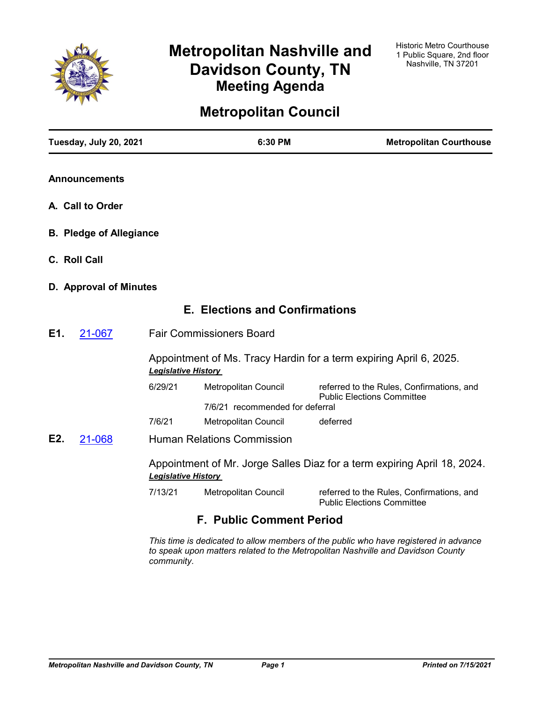

# **Metropolitan Nashville and Davidson County, TN Meeting Agenda**

# **Metropolitan Council**

|     | Tuesday, July 20, 2021         |                                                                                                        | 6:30 PM                               | <b>Metropolitan Courthouse</b>                                                 |  |
|-----|--------------------------------|--------------------------------------------------------------------------------------------------------|---------------------------------------|--------------------------------------------------------------------------------|--|
|     | <b>Announcements</b>           |                                                                                                        |                                       |                                                                                |  |
|     | A. Call to Order               |                                                                                                        |                                       |                                                                                |  |
|     | <b>B. Pledge of Allegiance</b> |                                                                                                        |                                       |                                                                                |  |
|     | C. Roll Call                   |                                                                                                        |                                       |                                                                                |  |
|     | D. Approval of Minutes         |                                                                                                        |                                       |                                                                                |  |
|     |                                |                                                                                                        | <b>E. Elections and Confirmations</b> |                                                                                |  |
| E1. | 21-067                         |                                                                                                        | <b>Fair Commissioners Board</b>       |                                                                                |  |
|     |                                | Appointment of Ms. Tracy Hardin for a term expiring April 6, 2025.<br><b>Legislative History</b>       |                                       |                                                                                |  |
|     |                                | 6/29/21                                                                                                | Metropolitan Council                  | referred to the Rules, Confirmations, and                                      |  |
|     |                                |                                                                                                        | 7/6/21 recommended for deferral       | <b>Public Elections Committee</b>                                              |  |
|     |                                | 7/6/21                                                                                                 | Metropolitan Council                  | deferred                                                                       |  |
| E2. | 21-068                         |                                                                                                        | <b>Human Relations Commission</b>     |                                                                                |  |
|     |                                | Appointment of Mr. Jorge Salles Diaz for a term expiring April 18, 2024.<br><b>Legislative History</b> |                                       |                                                                                |  |
|     |                                | 7/13/21                                                                                                | Metropolitan Council                  | referred to the Rules, Confirmations, and<br><b>Public Elections Committee</b> |  |
|     |                                |                                                                                                        | <b>F. Public Comment Period</b>       |                                                                                |  |

*This time is dedicated to allow members of the public who have registered in advance to speak upon matters related to the Metropolitan Nashville and Davidson County community.*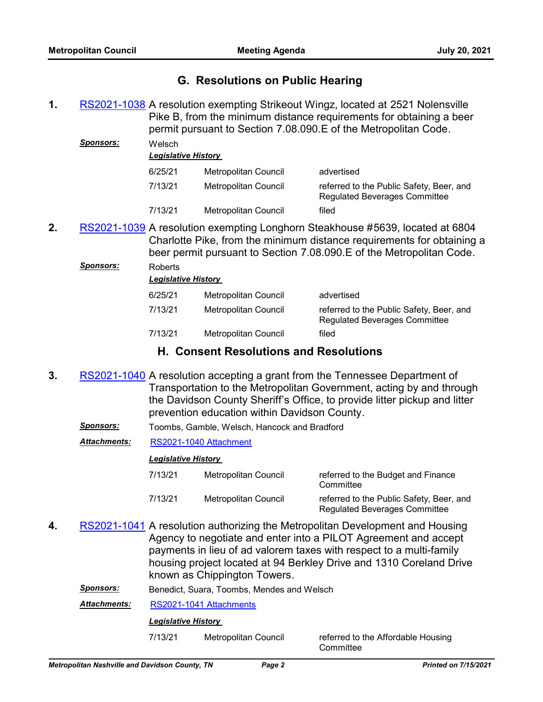# **G. Resolutions on Public Hearing**

1. [RS2021-1038](http://nashville.legistar.com/gateway.aspx?m=l&id=/matter.aspx?key=13362) A resolution exempting Strikeout Wingz, located at 2521 Nolensville Pike B, from the minimum distance requirements for obtaining a beer permit pursuant to Section 7.08.090.E of the Metropolitan Code. *Sponsors:* Welsch

|         | <b>Legislative History</b> |                                                                                  |  |  |  |
|---------|----------------------------|----------------------------------------------------------------------------------|--|--|--|
| 6/25/21 | Metropolitan Council       | advertised                                                                       |  |  |  |
| 7/13/21 | Metropolitan Council       | referred to the Public Safety, Beer, and<br><b>Regulated Beverages Committee</b> |  |  |  |
| 7/13/21 | Metropolitan Council       | filed                                                                            |  |  |  |

2. [RS2021-1039](http://nashville.legistar.com/gateway.aspx?m=l&id=/matter.aspx?key=13363) A resolution exempting Longhorn Steakhouse #5639, located at 6804 Charlotte Pike, from the minimum distance requirements for obtaining a beer permit pursuant to Section 7.08.090.E of the Metropolitan Code.

### *Sponsors:* Roberts

| Legislative History |                      |                                                                                  |  |
|---------------------|----------------------|----------------------------------------------------------------------------------|--|
| 6/25/21             | Metropolitan Council | advertised                                                                       |  |
| 7/13/21             | Metropolitan Council | referred to the Public Safety, Beer, and<br><b>Regulated Beverages Committee</b> |  |
| 7/13/21             | Metropolitan Council | filed                                                                            |  |

# **H. Consent Resolutions and Resolutions**

- **3.** [RS2021-1040](http://nashville.legistar.com/gateway.aspx?m=l&id=/matter.aspx?key=13371) A resolution accepting a grant from the Tennessee Department of Transportation to the Metropolitan Government, acting by and through the Davidson County Sheriff's Office, to provide litter pickup and litter prevention education within Davidson County.
	- *Sponsors:* Toombs, Gamble, Welsch, Hancock and Bradford

## *Attachments:* [RS2021-1040 Attachment](http://nashville.legistar.com/gateway.aspx?M=F&ID=ba24a7b7-5129-4f8f-b2f9-8526e9e9e4a1.pdf)

## *Legislative History*

*Legislative History* 

| 7/13/21 | Metropolitan Council | referred to the Budget and Finance<br>Committee                                  |
|---------|----------------------|----------------------------------------------------------------------------------|
| 7/13/21 | Metropolitan Council | referred to the Public Safety, Beer, and<br><b>Regulated Beverages Committee</b> |

**4.** [RS2021-1041](http://nashville.legistar.com/gateway.aspx?m=l&id=/matter.aspx?key=13381) A resolution authorizing the Metropolitan Development and Housing Agency to negotiate and enter into a PILOT Agreement and accept payments in lieu of ad valorem taxes with respect to a multi-family housing project located at 94 Berkley Drive and 1310 Coreland Drive known as Chippington Towers.

*Sponsors:* Benedict, Suara, Toombs, Mendes and Welsch

*Attachments:* [RS2021-1041 Attachments](http://nashville.legistar.com/gateway.aspx?M=F&ID=20800683-7d0e-4532-88a6-83be6a74f71d.pdf)

## *Legislative History*

7/13/21 Metropolitan Council referred to the Affordable Housing

**Committee**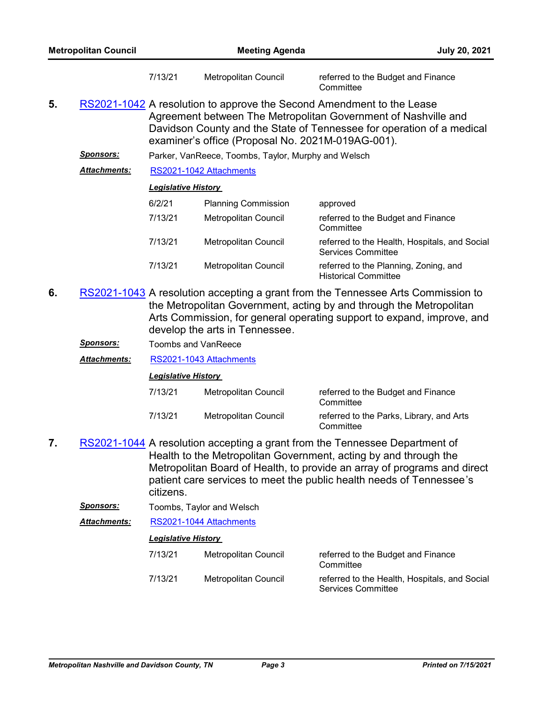| <b>Metropolitan Council</b> |                                                                                                                                                                                                                                                                       | <b>Meeting Agenda</b>      |                                                     |                                                                            | <b>July 20, 2021</b> |
|-----------------------------|-----------------------------------------------------------------------------------------------------------------------------------------------------------------------------------------------------------------------------------------------------------------------|----------------------------|-----------------------------------------------------|----------------------------------------------------------------------------|----------------------|
|                             |                                                                                                                                                                                                                                                                       | 7/13/21                    | Metropolitan Council                                | referred to the Budget and Finance<br>Committee                            |                      |
| 5.                          | RS2021-1042 A resolution to approve the Second Amendment to the Lease<br>Agreement between The Metropolitan Government of Nashville and<br>Davidson County and the State of Tennessee for operation of a medical<br>examiner's office (Proposal No. 2021M-019AG-001). |                            |                                                     |                                                                            |                      |
|                             | <b>Sponsors:</b>                                                                                                                                                                                                                                                      |                            | Parker, VanReece, Toombs, Taylor, Murphy and Welsch |                                                                            |                      |
|                             | <b>Attachments:</b>                                                                                                                                                                                                                                                   |                            | RS2021-1042 Attachments                             |                                                                            |                      |
|                             |                                                                                                                                                                                                                                                                       | <b>Legislative History</b> |                                                     |                                                                            |                      |
|                             |                                                                                                                                                                                                                                                                       | 6/2/21                     | <b>Planning Commission</b>                          | approved                                                                   |                      |
|                             |                                                                                                                                                                                                                                                                       | 7/13/21                    | Metropolitan Council                                | referred to the Budget and Finance<br>Committee                            |                      |
|                             |                                                                                                                                                                                                                                                                       | 7/13/21                    | Metropolitan Council                                | referred to the Health, Hospitals, and Social<br><b>Services Committee</b> |                      |
|                             |                                                                                                                                                                                                                                                                       | 7/13/21                    | Metropolitan Council                                | referred to the Planning, Zoning, and                                      |                      |

- 6. [RS2021-1043](http://nashville.legistar.com/gateway.aspx?m=l&id=/matter.aspx?key=13377) A resolution accepting a grant from the Tennessee Arts Commission to the Metropolitan Government, acting by and through the Metropolitan Arts Commission, for general operating support to expand, improve, and develop the arts in Tennessee.
	- *Sponsors:* Toombs and VanReece

*Attachments:* [RS2021-1043 Attachments](http://nashville.legistar.com/gateway.aspx?M=F&ID=9580e7f8-ec49-49f4-9ac4-8a370b7f04ef.pdf)

## *Legislative History*

| 7/13/21 | Metropolitan Council | referred to the Budget and Finance<br>Committee       |
|---------|----------------------|-------------------------------------------------------|
| 7/13/21 | Metropolitan Council | referred to the Parks, Library, and Arts<br>Committee |

Historical Committee

- 7. [RS2021-1044](http://nashville.legistar.com/gateway.aspx?m=l&id=/matter.aspx?key=13372) A resolution accepting a grant from the Tennessee Department of Health to the Metropolitan Government, acting by and through the Metropolitan Board of Health, to provide an array of programs and direct patient care services to meet the public health needs of Tennessee's citizens.
	- **Sponsors:** Toombs, Taylor and Welsch
	- *Attachments:* [RS2021-1044 Attachments](http://nashville.legistar.com/gateway.aspx?M=F&ID=a93abc66-65c1-40d2-8ef8-3ea2aed91856.pdf)

# *Legislative History*

7/13/21 Metropolitan Council referred to the Budget and Finance **Committee** 7/13/21 Metropolitan Council referred to the Health, Hospitals, and Social Services Committee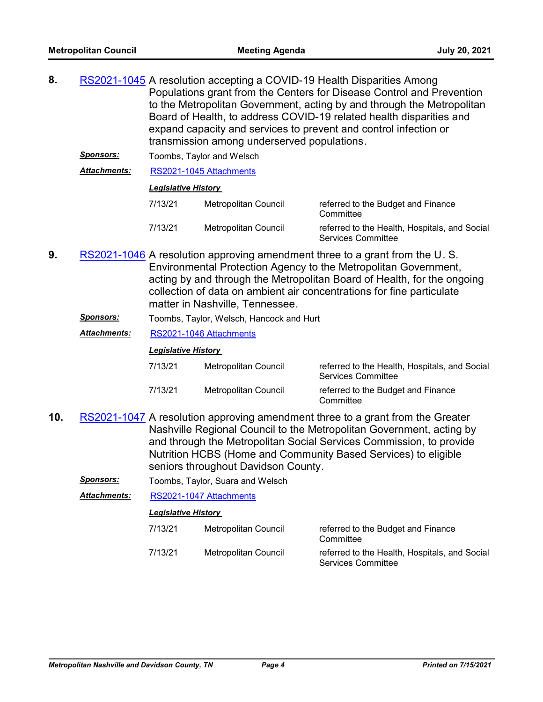| 8. |                     |                            |                                             | RS2021-1045 A resolution accepting a COVID-19 Health Disparities Among |
|----|---------------------|----------------------------|---------------------------------------------|------------------------------------------------------------------------|
|    |                     |                            |                                             | Populations grant from the Centers for Disease Control and Prevention  |
|    |                     |                            |                                             | to the Metropolitan Government, acting by and through the Metropolitan |
|    |                     |                            |                                             | Board of Health, to address COVID-19 related health disparities and    |
|    |                     |                            |                                             | expand capacity and services to prevent and control infection or       |
|    |                     |                            | transmission among underserved populations. |                                                                        |
|    | <b>Sponsors:</b>    |                            | Toombs, Taylor and Welsch                   |                                                                        |
|    | <b>Attachments:</b> |                            | RS2021-1045 Attachments                     |                                                                        |
|    |                     | <b>Legislative History</b> |                                             |                                                                        |
|    |                     | 7/13/21                    | Metropolitan Council                        | referred to the Budget and Finance<br>Committee                        |

- 7/13/21 Metropolitan Council referred to the Health, Hospitals, and Social Services Committee
- **9.** [RS2021-1046](http://nashville.legistar.com/gateway.aspx?m=l&id=/matter.aspx?key=13373) A resolution approving amendment three to a grant from the U.S. Environmental Protection Agency to the Metropolitan Government, acting by and through the Metropolitan Board of Health, for the ongoing collection of data on ambient air concentrations for fine particulate matter in Nashville, Tennessee.
	- *Sponsors:* Toombs, Taylor, Welsch, Hancock and Hurt
	- *Attachments:* [RS2021-1046 Attachments](http://nashville.legistar.com/gateway.aspx?M=F&ID=2ad2c4f1-a11b-434b-8a84-8cd543a0a773.pdf)

### *Legislative History*

| 7/13/21 | Metropolitan Council | referred to the Health, Hospitals, and Social<br><b>Services Committee</b> |
|---------|----------------------|----------------------------------------------------------------------------|
| 7/13/21 | Metropolitan Council | referred to the Budget and Finance<br>Committee                            |

- 10. [RS2021-1047](http://nashville.legistar.com/gateway.aspx?m=l&id=/matter.aspx?key=13375) A resolution approving amendment three to a grant from the Greater Nashville Regional Council to the Metropolitan Government, acting by and through the Metropolitan Social Services Commission, to provide Nutrition HCBS (Home and Community Based Services) to eligible seniors throughout Davidson County.
	- *Sponsors:* Toombs, Taylor, Suara and Welsch

*Attachments:* [RS2021-1047 Attachments](http://nashville.legistar.com/gateway.aspx?M=F&ID=5e042b92-34dc-4669-8b48-754939ae9e08.pdf)

| 7/13/21 | Metropolitan Council | referred to the Budget and Finance<br>Committee                            |
|---------|----------------------|----------------------------------------------------------------------------|
| 7/13/21 | Metropolitan Council | referred to the Health, Hospitals, and Social<br><b>Services Committee</b> |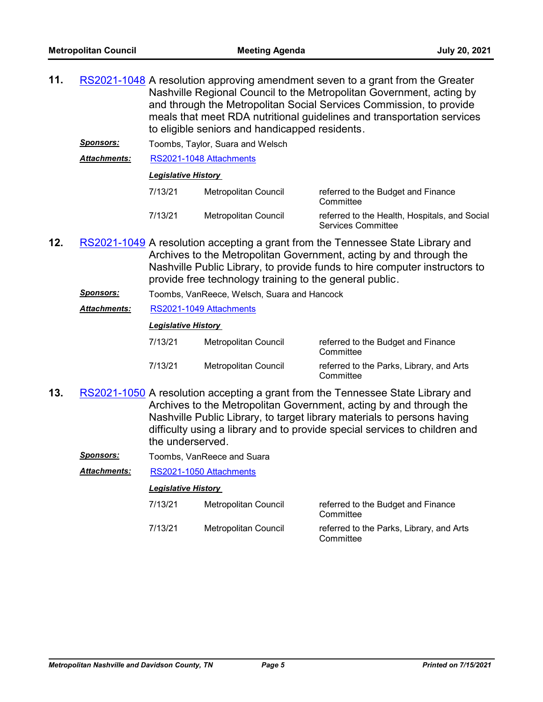- 11. [RS2021-1048](http://nashville.legistar.com/gateway.aspx?m=l&id=/matter.aspx?key=13378) A resolution approving amendment seven to a grant from the Greater Nashville Regional Council to the Metropolitan Government, acting by and through the Metropolitan Social Services Commission, to provide meals that meet RDA nutritional guidelines and transportation services to eligible seniors and handicapped residents.
	- **Sponsors:** Toombs, Taylor, Suara and Welsch

*Attachments:* [RS2021-1048 Attachments](http://nashville.legistar.com/gateway.aspx?M=F&ID=570abd6d-5097-465d-9c06-86f773ae9713.pdf)

### *Legislative History*

| 7/13/21 | Metropolitan Council | referred to the Budget and Finance<br>Committee                            |
|---------|----------------------|----------------------------------------------------------------------------|
| 7/13/21 | Metropolitan Council | referred to the Health, Hospitals, and Social<br><b>Services Committee</b> |

- 12. [RS2021-1049](http://nashville.legistar.com/gateway.aspx?m=l&id=/matter.aspx?key=13358) A resolution accepting a grant from the Tennessee State Library and Archives to the Metropolitan Government, acting by and through the Nashville Public Library, to provide funds to hire computer instructors to provide free technology training to the general public.
	- *Sponsors:* Toombs, VanReece, Welsch, Suara and Hancock
	- *Attachments:* [RS2021-1049 Attachments](http://nashville.legistar.com/gateway.aspx?M=F&ID=389f3732-b0d7-4d96-a368-4b32d723e432.pdf)

#### *Legislative History*

| 7/13/21 | Metropolitan Council | referred to the Budget and Finance<br>Committee       |
|---------|----------------------|-------------------------------------------------------|
| 7/13/21 | Metropolitan Council | referred to the Parks, Library, and Arts<br>Committee |

- 13. [RS2021-1050](http://nashville.legistar.com/gateway.aspx?m=l&id=/matter.aspx?key=13369) A resolution accepting a grant from the Tennessee State Library and Archives to the Metropolitan Government, acting by and through the Nashville Public Library, to target library materials to persons having difficulty using a library and to provide special services to children and the underserved.
	- **Sponsors:** Toombs, VanReece and Suara

*Attachments:* [RS2021-1050 Attachments](http://nashville.legistar.com/gateway.aspx?M=F&ID=349f8511-3595-4634-8e4d-ccbd47a20d63.pdf)

| 7/13/21 | Metropolitan Council | referred to the Budget and Finance<br>Committee       |
|---------|----------------------|-------------------------------------------------------|
| 7/13/21 | Metropolitan Council | referred to the Parks, Library, and Arts<br>Committee |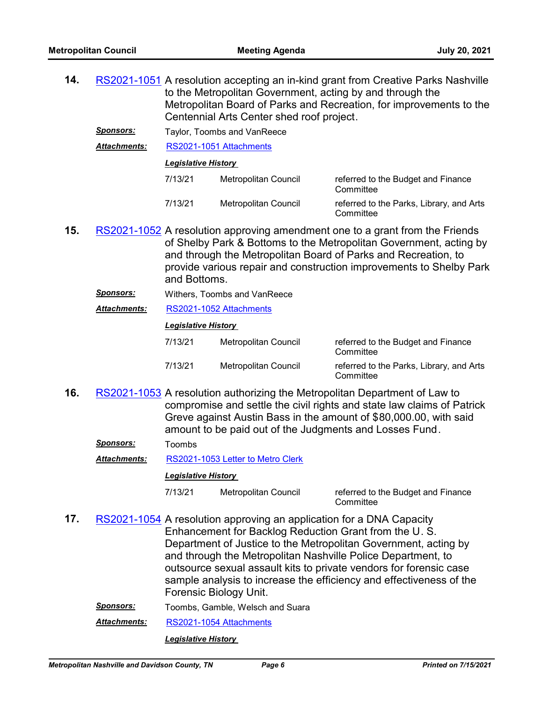**14.** [RS2021-1051](http://nashville.legistar.com/gateway.aspx?m=l&id=/matter.aspx?key=13370) A resolution accepting an in-kind grant from Creative Parks Nashville to the Metropolitan Government, acting by and through the Metropolitan Board of Parks and Recreation, for improvements to the Centennial Arts Center shed roof project. *Sponsors:* Taylor, Toombs and VanReece *Attachments:* [RS2021-1051 Attachments](http://nashville.legistar.com/gateway.aspx?M=F&ID=fa48a8f0-1646-4784-9ed0-c7f539328dca.pdf) *Legislative History* 

| 7/13/21 | Metropolitan Council | referred to the Budget and Finance<br>Committee       |
|---------|----------------------|-------------------------------------------------------|
| 7/13/21 | Metropolitan Council | referred to the Parks, Library, and Arts<br>Committee |

- **15.** [RS2021-1052](http://nashville.legistar.com/gateway.aspx?m=l&id=/matter.aspx?key=13376) A resolution approving amendment one to a grant from the Friends of Shelby Park & Bottoms to the Metropolitan Government, acting by and through the Metropolitan Board of Parks and Recreation, to provide various repair and construction improvements to Shelby Park and Bottoms.
	- *Sponsors:* Withers, Toombs and VanReece
	- *Attachments:* [RS2021-1052 Attachments](http://nashville.legistar.com/gateway.aspx?M=F&ID=c8b10e1f-b0e0-4c74-b5af-d44c3761da37.pdf)

#### *Legislative History*

| 7/13/21 | Metropolitan Council | referred to the Budget and Finance<br>Committee       |
|---------|----------------------|-------------------------------------------------------|
| 7/13/21 | Metropolitan Council | referred to the Parks, Library, and Arts<br>Committee |

16. [RS2021-1053](http://nashville.legistar.com/gateway.aspx?m=l&id=/matter.aspx?key=13357) A resolution authorizing the Metropolitan Department of Law to compromise and settle the civil rights and state law claims of Patrick Greve against Austin Bass in the amount of \$80,000.00, with said amount to be paid out of the Judgments and Losses Fund.

| <b>Toombs</b> |
|---------------|
|               |

*Attachments:* [RS2021-1053 Letter to Metro Clerk](http://nashville.legistar.com/gateway.aspx?M=F&ID=e951993d-68f1-4d05-a9c1-3cee6df1f7ca.PDF)

#### *Legislative History*

7/13/21 Metropolitan Council referred to the Budget and Finance

**Committee** 

- 17. [RS2021-1054](http://nashville.legistar.com/gateway.aspx?m=l&id=/matter.aspx?key=13368) A resolution approving an application for a DNA Capacity Enhancement for Backlog Reduction Grant from the U. S. Department of Justice to the Metropolitan Government, acting by and through the Metropolitan Nashville Police Department, to outsource sexual assault kits to private vendors for forensic case sample analysis to increase the efficiency and effectiveness of the Forensic Biology Unit.
	- *Sponsors:* Toombs, Gamble, Welsch and Suara

*Attachments:* [RS2021-1054 Attachments](http://nashville.legistar.com/gateway.aspx?M=F&ID=63bc22b3-e99d-46d2-a96a-328f42edb2a8.pdf)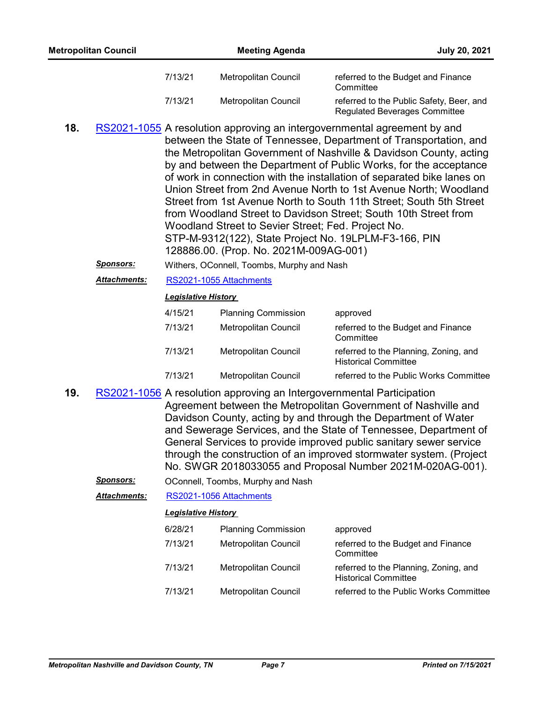- 18. [RS2021-1055](http://nashville.legistar.com/gateway.aspx?m=l&id=/matter.aspx?key=13351) A resolution approving an intergovernmental agreement by and between the State of Tennessee, Department of Transportation, and the Metropolitan Government of Nashville & Davidson County, acting by and between the Department of Public Works, for the acceptance of work in connection with the installation of separated bike lanes on Union Street from 2nd Avenue North to 1st Avenue North; Woodland Street from 1st Avenue North to South 11th Street; South 5th Street from Woodland Street to Davidson Street; South 10th Street from Woodland Street to Sevier Street; Fed. Project No. STP-M-9312(122), State Project No. 19LPLM-F3-166, PIN 128886.00. (Prop. No. 2021M-009AG-001)
	- *Sponsors:* Withers, OConnell, Toombs, Murphy and Nash
	- *Attachments:* [RS2021-1055 Attachments](http://nashville.legistar.com/gateway.aspx?M=F&ID=c032d789-8dee-4e18-b149-55304681b293.pdf)

## *Legislative History*

| 4/15/21 | <b>Planning Commission</b>  | approved                                                             |
|---------|-----------------------------|----------------------------------------------------------------------|
| 7/13/21 | Metropolitan Council        | referred to the Budget and Finance<br>Committee                      |
| 7/13/21 | <b>Metropolitan Council</b> | referred to the Planning, Zoning, and<br><b>Historical Committee</b> |
| 7/13/21 | <b>Metropolitan Council</b> | referred to the Public Works Committee                               |

- 19. [RS2021-1056](http://nashville.legistar.com/gateway.aspx?m=l&id=/matter.aspx?key=13353) A resolution approving an Intergovernmental Participation Agreement between the Metropolitan Government of Nashville and Davidson County, acting by and through the Department of Water and Sewerage Services, and the State of Tennessee, Department of General Services to provide improved public sanitary sewer service through the construction of an improved stormwater system. (Project No. SWGR 2018033055 and Proposal Number 2021M-020AG-001).
	- *Sponsors:* OConnell, Toombs, Murphy and Nash

*Attachments:* [RS2021-1056 Attachments](http://nashville.legistar.com/gateway.aspx?M=F&ID=8522812a-8fd0-46d0-a654-a5150f986da6.pdf)

| 6/28/21 | <b>Planning Commission</b> | approved                                                             |
|---------|----------------------------|----------------------------------------------------------------------|
| 7/13/21 | Metropolitan Council       | referred to the Budget and Finance<br>Committee                      |
| 7/13/21 | Metropolitan Council       | referred to the Planning, Zoning, and<br><b>Historical Committee</b> |
| 7/13/21 | Metropolitan Council       | referred to the Public Works Committee                               |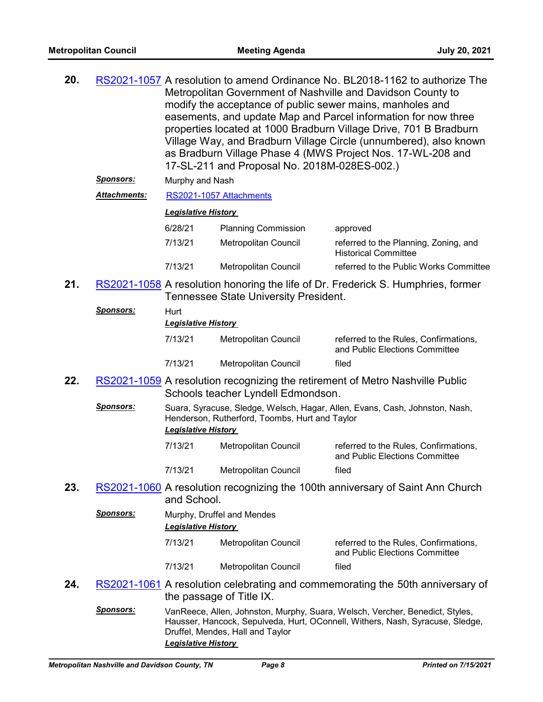| 20. | RS2021-1057 A resolution to amend Ordinance No. BL2018-1162 to authorize The<br>Metropolitan Government of Nashville and Davidson County to<br>modify the acceptance of public sewer mains, manholes and<br>easements, and update Map and Parcel information for now three<br>properties located at 1000 Bradburn Village Drive, 701 B Bradburn<br>Village Way, and Bradburn Village Circle (unnumbered), also known<br>as Bradburn Village Phase 4 (MWS Project Nos. 17-WL-208 and<br>17-SL-211 and Proposal No. 2018M-028ES-002.)<br><u>Sponsors:</u><br>Murphy and Nash |                            |                                                |                                                                                                                                                               |
|-----|----------------------------------------------------------------------------------------------------------------------------------------------------------------------------------------------------------------------------------------------------------------------------------------------------------------------------------------------------------------------------------------------------------------------------------------------------------------------------------------------------------------------------------------------------------------------------|----------------------------|------------------------------------------------|---------------------------------------------------------------------------------------------------------------------------------------------------------------|
|     | <u> Attachments:</u>                                                                                                                                                                                                                                                                                                                                                                                                                                                                                                                                                       |                            | RS2021-1057 Attachments                        |                                                                                                                                                               |
|     |                                                                                                                                                                                                                                                                                                                                                                                                                                                                                                                                                                            | <b>Legislative History</b> |                                                |                                                                                                                                                               |
|     |                                                                                                                                                                                                                                                                                                                                                                                                                                                                                                                                                                            | 6/28/21                    | <b>Planning Commission</b>                     | approved                                                                                                                                                      |
|     |                                                                                                                                                                                                                                                                                                                                                                                                                                                                                                                                                                            | 7/13/21                    | Metropolitan Council                           | referred to the Planning, Zoning, and<br><b>Historical Committee</b>                                                                                          |
|     |                                                                                                                                                                                                                                                                                                                                                                                                                                                                                                                                                                            | 7/13/21                    | Metropolitan Council                           | referred to the Public Works Committee                                                                                                                        |
| 21. |                                                                                                                                                                                                                                                                                                                                                                                                                                                                                                                                                                            |                            | <b>Tennessee State University President.</b>   | RS2021-1058 A resolution honoring the life of Dr. Frederick S. Humphries, former                                                                              |
|     | <u>Sponsors:</u>                                                                                                                                                                                                                                                                                                                                                                                                                                                                                                                                                           | Hurt                       |                                                |                                                                                                                                                               |
|     |                                                                                                                                                                                                                                                                                                                                                                                                                                                                                                                                                                            | <b>Legislative History</b> |                                                |                                                                                                                                                               |
|     |                                                                                                                                                                                                                                                                                                                                                                                                                                                                                                                                                                            | 7/13/21                    | Metropolitan Council                           | referred to the Rules, Confirmations,<br>and Public Elections Committee                                                                                       |
|     |                                                                                                                                                                                                                                                                                                                                                                                                                                                                                                                                                                            | 7/13/21                    | Metropolitan Council                           | filed                                                                                                                                                         |
| 22. |                                                                                                                                                                                                                                                                                                                                                                                                                                                                                                                                                                            |                            | Schools teacher Lyndell Edmondson.             | RS2021-1059 A resolution recognizing the retirement of Metro Nashville Public                                                                                 |
|     | <u>Sponsors:</u>                                                                                                                                                                                                                                                                                                                                                                                                                                                                                                                                                           | <b>Legislative History</b> | Henderson, Rutherford, Toombs, Hurt and Taylor | Suara, Syracuse, Sledge, Welsch, Hagar, Allen, Evans, Cash, Johnston, Nash,                                                                                   |
|     |                                                                                                                                                                                                                                                                                                                                                                                                                                                                                                                                                                            | 7/13/21                    | Metropolitan Council                           | referred to the Rules, Confirmations,<br>and Public Elections Committee                                                                                       |
|     |                                                                                                                                                                                                                                                                                                                                                                                                                                                                                                                                                                            | 7/13/21                    | Metropolitan Council                           | filed                                                                                                                                                         |
| 23. |                                                                                                                                                                                                                                                                                                                                                                                                                                                                                                                                                                            | and School.                |                                                | RS2021-1060 A resolution recognizing the 100th anniversary of Saint Ann Church                                                                                |
|     | <u>Sponsors:</u>                                                                                                                                                                                                                                                                                                                                                                                                                                                                                                                                                           | <b>Legislative History</b> | Murphy, Druffel and Mendes                     |                                                                                                                                                               |
|     |                                                                                                                                                                                                                                                                                                                                                                                                                                                                                                                                                                            | 7/13/21                    | Metropolitan Council                           | referred to the Rules, Confirmations,<br>and Public Elections Committee                                                                                       |
|     |                                                                                                                                                                                                                                                                                                                                                                                                                                                                                                                                                                            | 7/13/21                    | Metropolitan Council                           | filed                                                                                                                                                         |
| 24. |                                                                                                                                                                                                                                                                                                                                                                                                                                                                                                                                                                            |                            | the passage of Title IX.                       | RS2021-1061 A resolution celebrating and commemorating the 50th anniversary of                                                                                |
|     | <b>Sponsors:</b>                                                                                                                                                                                                                                                                                                                                                                                                                                                                                                                                                           |                            | Druffel, Mendes, Hall and Taylor               | VanReece, Allen, Johnston, Murphy, Suara, Welsch, Vercher, Benedict, Styles,<br>Hausser, Hancock, Sepulveda, Hurt, OConnell, Withers, Nash, Syracuse, Sledge, |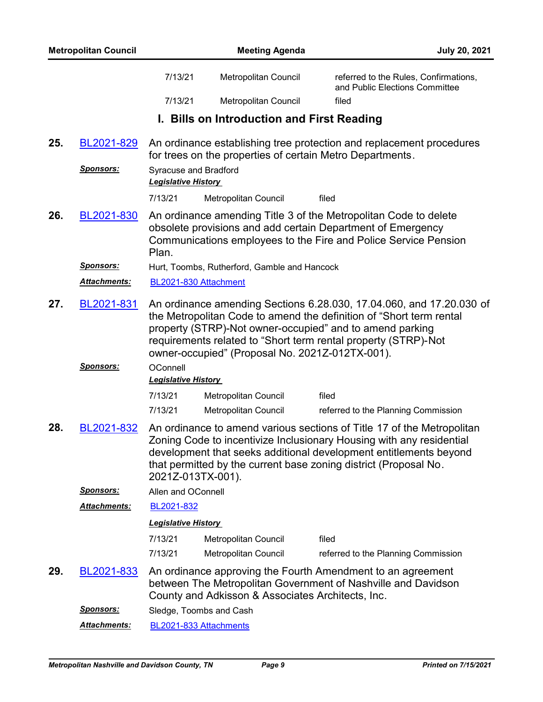|                                                                                                                                                                                                                                                                                                                                                   | <b>Metropolitan Council</b> |                                                            | <b>Meeting Agenda</b>                                     | <b>July 20, 2021</b>                                                                                                                                                                                                                                                                    |
|---------------------------------------------------------------------------------------------------------------------------------------------------------------------------------------------------------------------------------------------------------------------------------------------------------------------------------------------------|-----------------------------|------------------------------------------------------------|-----------------------------------------------------------|-----------------------------------------------------------------------------------------------------------------------------------------------------------------------------------------------------------------------------------------------------------------------------------------|
|                                                                                                                                                                                                                                                                                                                                                   |                             | 7/13/21                                                    | Metropolitan Council                                      | referred to the Rules, Confirmations,<br>and Public Elections Committee                                                                                                                                                                                                                 |
|                                                                                                                                                                                                                                                                                                                                                   |                             | 7/13/21                                                    | Metropolitan Council                                      | filed                                                                                                                                                                                                                                                                                   |
|                                                                                                                                                                                                                                                                                                                                                   |                             |                                                            | I. Bills on Introduction and First Reading                |                                                                                                                                                                                                                                                                                         |
| 25.                                                                                                                                                                                                                                                                                                                                               | BL2021-829                  |                                                            | for trees on the properties of certain Metro Departments. | An ordinance establishing tree protection and replacement procedures                                                                                                                                                                                                                    |
|                                                                                                                                                                                                                                                                                                                                                   | <u>Sponsors:</u>            | <b>Syracuse and Bradford</b><br><b>Legislative History</b> |                                                           |                                                                                                                                                                                                                                                                                         |
|                                                                                                                                                                                                                                                                                                                                                   |                             | 7/13/21                                                    | Metropolitan Council                                      | filed                                                                                                                                                                                                                                                                                   |
| 26.                                                                                                                                                                                                                                                                                                                                               | BL2021-830                  | Plan.                                                      |                                                           | An ordinance amending Title 3 of the Metropolitan Code to delete<br>obsolete provisions and add certain Department of Emergency<br>Communications employees to the Fire and Police Service Pension                                                                                      |
|                                                                                                                                                                                                                                                                                                                                                   | <u>Sponsors:</u>            |                                                            | Hurt, Toombs, Rutherford, Gamble and Hancock              |                                                                                                                                                                                                                                                                                         |
|                                                                                                                                                                                                                                                                                                                                                   | <b>Attachments:</b>         | BL2021-830 Attachment                                      |                                                           |                                                                                                                                                                                                                                                                                         |
| 27.<br>An ordinance amending Sections 6.28.030, 17.04.060, and 17.20.030 of<br>BL2021-831<br>the Metropolitan Code to amend the definition of "Short term rental<br>property (STRP)-Not owner-occupied" and to amend parking<br>requirements related to "Short term rental property (STRP)-Not<br>owner-occupied" (Proposal No. 2021Z-012TX-001). |                             |                                                            |                                                           |                                                                                                                                                                                                                                                                                         |
|                                                                                                                                                                                                                                                                                                                                                   | <u>Sponsors:</u>            | OConnell<br><b>Legislative History</b>                     |                                                           |                                                                                                                                                                                                                                                                                         |
|                                                                                                                                                                                                                                                                                                                                                   |                             | 7/13/21                                                    | Metropolitan Council                                      | filed                                                                                                                                                                                                                                                                                   |
|                                                                                                                                                                                                                                                                                                                                                   |                             | 7/13/21                                                    | Metropolitan Council                                      | referred to the Planning Commission                                                                                                                                                                                                                                                     |
| 28.                                                                                                                                                                                                                                                                                                                                               | BL2021-832                  | 2021Z-013TX-001).                                          |                                                           | An ordinance to amend various sections of Title 17 of the Metropolitan<br>Zoning Code to incentivize Inclusionary Housing with any residential<br>development that seeks additional development entitlements beyond<br>that permitted by the current base zoning district (Proposal No. |
|                                                                                                                                                                                                                                                                                                                                                   | <b>Sponsors:</b>            | Allen and OConnell                                         |                                                           |                                                                                                                                                                                                                                                                                         |
|                                                                                                                                                                                                                                                                                                                                                   | Attachments:                | BL2021-832                                                 |                                                           |                                                                                                                                                                                                                                                                                         |
|                                                                                                                                                                                                                                                                                                                                                   |                             | <b>Legislative History</b>                                 |                                                           |                                                                                                                                                                                                                                                                                         |
|                                                                                                                                                                                                                                                                                                                                                   |                             | 7/13/21                                                    | Metropolitan Council                                      | filed                                                                                                                                                                                                                                                                                   |
|                                                                                                                                                                                                                                                                                                                                                   |                             | 7/13/21                                                    | <b>Metropolitan Council</b>                               | referred to the Planning Commission                                                                                                                                                                                                                                                     |
| 29.                                                                                                                                                                                                                                                                                                                                               | BL2021-833                  |                                                            | County and Adkisson & Associates Architects, Inc.         | An ordinance approving the Fourth Amendment to an agreement<br>between The Metropolitan Government of Nashville and Davidson                                                                                                                                                            |
|                                                                                                                                                                                                                                                                                                                                                   | <b>Sponsors:</b>            |                                                            | Sledge, Toombs and Cash                                   |                                                                                                                                                                                                                                                                                         |
|                                                                                                                                                                                                                                                                                                                                                   | Attachments:                |                                                            | BL2021-833 Attachments                                    |                                                                                                                                                                                                                                                                                         |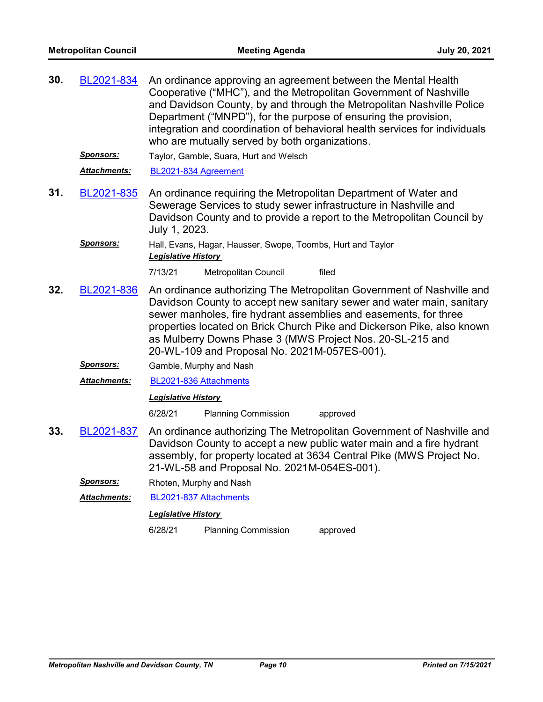| 30. | BL2021-834       | An ordinance approving an agreement between the Mental Health<br>Cooperative ("MHC"), and the Metropolitan Government of Nashville<br>and Davidson County, by and through the Metropolitan Nashville Police<br>Department ("MNPD"), for the purpose of ensuring the provision,<br>integration and coordination of behavioral health services for individuals<br>who are mutually served by both organizations. |  |  |  |
|-----|------------------|----------------------------------------------------------------------------------------------------------------------------------------------------------------------------------------------------------------------------------------------------------------------------------------------------------------------------------------------------------------------------------------------------------------|--|--|--|
|     | <u>Sponsors:</u> | Taylor, Gamble, Suara, Hurt and Welsch                                                                                                                                                                                                                                                                                                                                                                         |  |  |  |
|     | Attachments:     | BL2021-834 Agreement                                                                                                                                                                                                                                                                                                                                                                                           |  |  |  |
| 31. | BL2021-835       | An ordinance requiring the Metropolitan Department of Water and<br>Sewerage Services to study sewer infrastructure in Nashville and<br>Davidson County and to provide a report to the Metropolitan Council by<br>July 1, 2023.                                                                                                                                                                                 |  |  |  |
|     | <b>Sponsors:</b> | Hall, Evans, Hagar, Hausser, Swope, Toombs, Hurt and Taylor<br><b>Legislative History</b>                                                                                                                                                                                                                                                                                                                      |  |  |  |
|     |                  | 7/13/21<br>Metropolitan Council<br>filed                                                                                                                                                                                                                                                                                                                                                                       |  |  |  |
| 32. | BL2021-836       | An ordinance authorizing The Metropolitan Government of Nashville and<br>Davidson County to accept new sanitary sewer and water main, sanitary<br>sewer manholes, fire hydrant assemblies and easements, for three<br>properties located on Brick Church Pike and Dickerson Pike, also known<br>as Mulberry Downs Phase 3 (MWS Project Nos. 20-SL-215 and<br>20-WL-109 and Proposal No. 2021M-057ES-001).      |  |  |  |
|     | <b>Sponsors:</b> | Gamble, Murphy and Nash                                                                                                                                                                                                                                                                                                                                                                                        |  |  |  |
|     | Attachments:     | BL2021-836 Attachments                                                                                                                                                                                                                                                                                                                                                                                         |  |  |  |
|     |                  | <b>Legislative History</b>                                                                                                                                                                                                                                                                                                                                                                                     |  |  |  |
|     |                  | 6/28/21<br><b>Planning Commission</b><br>approved                                                                                                                                                                                                                                                                                                                                                              |  |  |  |
| 33. | BL2021-837       | An ordinance authorizing The Metropolitan Government of Nashville and<br>Davidson County to accept a new public water main and a fire hydrant<br>assembly, for property located at 3634 Central Pike (MWS Project No.<br>21-WL-58 and Proposal No. 2021M-054ES-001).                                                                                                                                           |  |  |  |
|     | <b>Sponsors:</b> | Rhoten, Murphy and Nash                                                                                                                                                                                                                                                                                                                                                                                        |  |  |  |
|     | Attachments:     | BL2021-837 Attachments                                                                                                                                                                                                                                                                                                                                                                                         |  |  |  |
|     |                  | <b>Legislative History</b>                                                                                                                                                                                                                                                                                                                                                                                     |  |  |  |
|     |                  | 6/28/21<br><b>Planning Commission</b><br>approved                                                                                                                                                                                                                                                                                                                                                              |  |  |  |
|     |                  |                                                                                                                                                                                                                                                                                                                                                                                                                |  |  |  |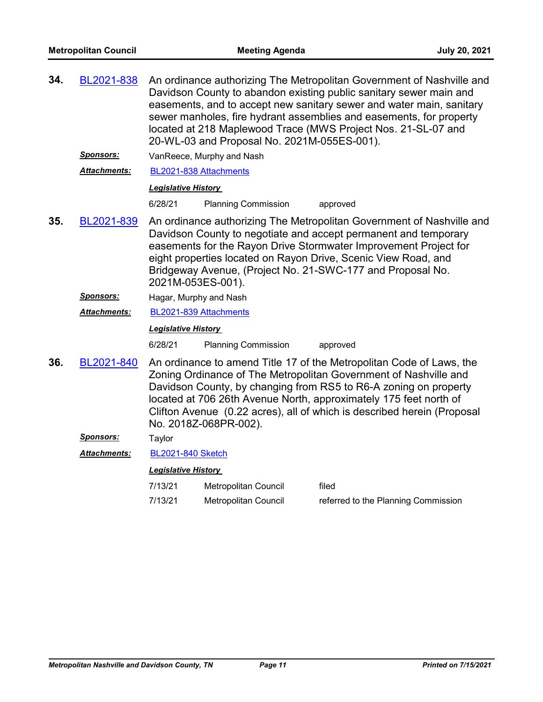| 34.                                                                                                                                                                                                                                                                                                                                                                                                        | BL2021-838          |                            | An ordinance authorizing The Metropolitan Government of Nashville and<br>Davidson County to abandon existing public sanitary sewer main and<br>easements, and to accept new sanitary sewer and water main, sanitary<br>sewer manholes, fire hydrant assemblies and easements, for property<br>located at 218 Maplewood Trace (MWS Project Nos. 21-SL-07 and<br>20-WL-03 and Proposal No. 2021M-055ES-001). |                                     |  |
|------------------------------------------------------------------------------------------------------------------------------------------------------------------------------------------------------------------------------------------------------------------------------------------------------------------------------------------------------------------------------------------------------------|---------------------|----------------------------|------------------------------------------------------------------------------------------------------------------------------------------------------------------------------------------------------------------------------------------------------------------------------------------------------------------------------------------------------------------------------------------------------------|-------------------------------------|--|
|                                                                                                                                                                                                                                                                                                                                                                                                            | Sponsors:           |                            | VanReece, Murphy and Nash                                                                                                                                                                                                                                                                                                                                                                                  |                                     |  |
|                                                                                                                                                                                                                                                                                                                                                                                                            | <b>Attachments:</b> | BL2021-838 Attachments     |                                                                                                                                                                                                                                                                                                                                                                                                            |                                     |  |
|                                                                                                                                                                                                                                                                                                                                                                                                            |                     | <b>Legislative History</b> |                                                                                                                                                                                                                                                                                                                                                                                                            |                                     |  |
|                                                                                                                                                                                                                                                                                                                                                                                                            |                     | 6/28/21                    | <b>Planning Commission</b>                                                                                                                                                                                                                                                                                                                                                                                 | approved                            |  |
| 35.<br>BL2021-839<br>An ordinance authorizing The Metropolitan Government of Nashville and<br>Davidson County to negotiate and accept permanent and temporary<br>easements for the Rayon Drive Stormwater Improvement Project for<br>eight properties located on Rayon Drive, Scenic View Road, and<br>Bridgeway Avenue, (Project No. 21-SWC-177 and Proposal No.<br>2021M-053ES-001).                     |                     |                            |                                                                                                                                                                                                                                                                                                                                                                                                            |                                     |  |
|                                                                                                                                                                                                                                                                                                                                                                                                            | Sponsors:           | Hagar, Murphy and Nash     |                                                                                                                                                                                                                                                                                                                                                                                                            |                                     |  |
|                                                                                                                                                                                                                                                                                                                                                                                                            | <b>Attachments:</b> | BL2021-839 Attachments     |                                                                                                                                                                                                                                                                                                                                                                                                            |                                     |  |
|                                                                                                                                                                                                                                                                                                                                                                                                            |                     | <b>Legislative History</b> |                                                                                                                                                                                                                                                                                                                                                                                                            |                                     |  |
|                                                                                                                                                                                                                                                                                                                                                                                                            |                     | 6/28/21                    | <b>Planning Commission</b>                                                                                                                                                                                                                                                                                                                                                                                 | approved                            |  |
| 36.<br>An ordinance to amend Title 17 of the Metropolitan Code of Laws, the<br>BL2021-840<br>Zoning Ordinance of The Metropolitan Government of Nashville and<br>Davidson County, by changing from RS5 to R6-A zoning on property<br>located at 706 26th Avenue North, approximately 175 feet north of<br>Clifton Avenue (0.22 acres), all of which is described herein (Proposal<br>No. 2018Z-068PR-002). |                     |                            |                                                                                                                                                                                                                                                                                                                                                                                                            |                                     |  |
|                                                                                                                                                                                                                                                                                                                                                                                                            | Sponsors:           | Taylor                     |                                                                                                                                                                                                                                                                                                                                                                                                            |                                     |  |
|                                                                                                                                                                                                                                                                                                                                                                                                            | <b>Attachments:</b> | <b>BL2021-840 Sketch</b>   |                                                                                                                                                                                                                                                                                                                                                                                                            |                                     |  |
|                                                                                                                                                                                                                                                                                                                                                                                                            |                     | <b>Legislative History</b> |                                                                                                                                                                                                                                                                                                                                                                                                            |                                     |  |
|                                                                                                                                                                                                                                                                                                                                                                                                            |                     | 7/13/21                    | Metropolitan Council                                                                                                                                                                                                                                                                                                                                                                                       | filed                               |  |
|                                                                                                                                                                                                                                                                                                                                                                                                            |                     | 7/13/21                    | Metropolitan Council                                                                                                                                                                                                                                                                                                                                                                                       | referred to the Planning Commission |  |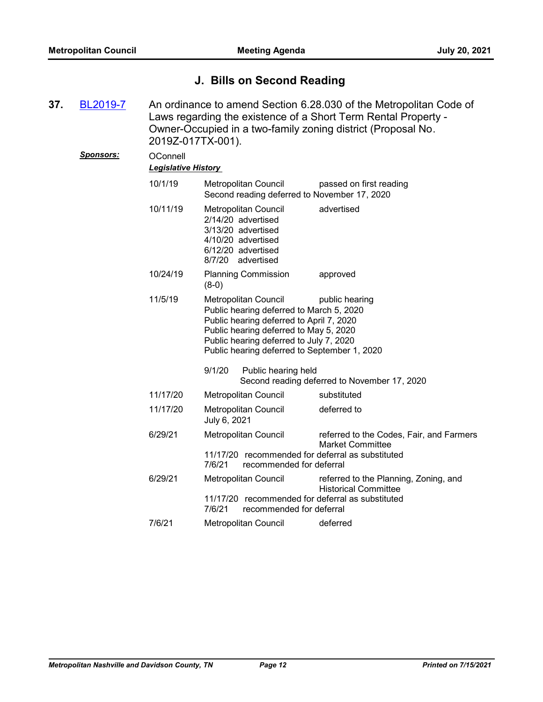# **J. Bills on Second Reading**

| 37. | BL2019-7  | An ordinance to amend Section 6.28.030 of the Metropolitan Code of<br>Laws regarding the existence of a Short Term Rental Property -<br>Owner-Occupied in a two-family zoning district (Proposal No.<br>2019Z-017TX-001). |                                                                                                                                                                                                                                                   |                                                                      |  |
|-----|-----------|---------------------------------------------------------------------------------------------------------------------------------------------------------------------------------------------------------------------------|---------------------------------------------------------------------------------------------------------------------------------------------------------------------------------------------------------------------------------------------------|----------------------------------------------------------------------|--|
|     | Sponsors: | OConnell<br><b>Legislative History</b>                                                                                                                                                                                    |                                                                                                                                                                                                                                                   |                                                                      |  |
|     |           | 10/1/19                                                                                                                                                                                                                   | Metropolitan Council<br>Second reading deferred to November 17, 2020                                                                                                                                                                              | passed on first reading                                              |  |
|     |           | 10/11/19                                                                                                                                                                                                                  | Metropolitan Council<br>2/14/20 advertised<br>3/13/20 advertised<br>4/10/20 advertised<br>6/12/20 advertised<br>8/7/20 advertised                                                                                                                 | advertised                                                           |  |
|     |           | 10/24/19                                                                                                                                                                                                                  | <b>Planning Commission</b><br>$(8-0)$                                                                                                                                                                                                             | approved                                                             |  |
|     |           | 11/5/19                                                                                                                                                                                                                   | Metropolitan Council<br>Public hearing deferred to March 5, 2020<br>Public hearing deferred to April 7, 2020<br>Public hearing deferred to May 5, 2020<br>Public hearing deferred to July 7, 2020<br>Public hearing deferred to September 1, 2020 | public hearing                                                       |  |
|     |           |                                                                                                                                                                                                                           | 9/1/20<br>Public hearing held                                                                                                                                                                                                                     | Second reading deferred to November 17, 2020                         |  |
|     |           | 11/17/20                                                                                                                                                                                                                  | <b>Metropolitan Council</b>                                                                                                                                                                                                                       | substituted                                                          |  |
|     |           | 11/17/20                                                                                                                                                                                                                  | Metropolitan Council<br>July 6, 2021                                                                                                                                                                                                              | deferred to                                                          |  |
|     |           | 6/29/21                                                                                                                                                                                                                   | Metropolitan Council<br>11/17/20 recommended for deferral as substituted<br>7/6/21<br>recommended for deferral                                                                                                                                    | referred to the Codes, Fair, and Farmers<br><b>Market Committee</b>  |  |
|     |           | 6/29/21                                                                                                                                                                                                                   | Metropolitan Council<br>11/17/20 recommended for deferral as substituted<br>7/6/21<br>recommended for deferral                                                                                                                                    | referred to the Planning, Zoning, and<br><b>Historical Committee</b> |  |
|     |           | 7/6/21                                                                                                                                                                                                                    | Metropolitan Council                                                                                                                                                                                                                              | deferred                                                             |  |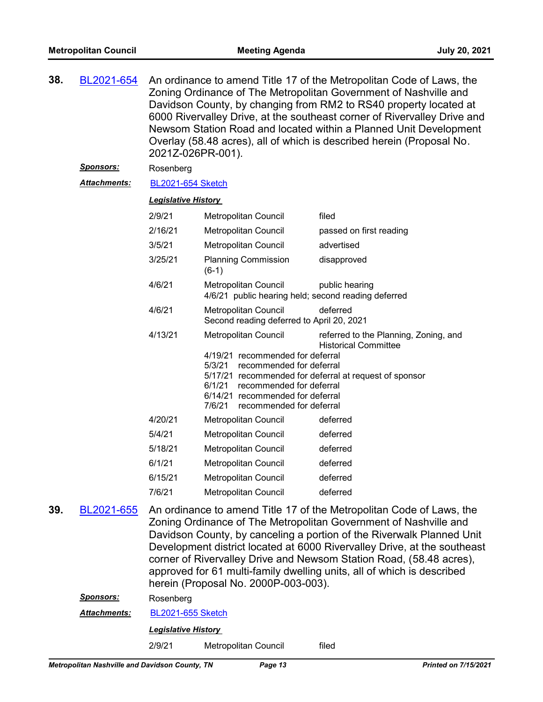| 38. | BL2021-654          | An ordinance to amend Title 17 of the Metropolitan Code of Laws, the<br>Zoning Ordinance of The Metropolitan Government of Nashville and<br>Davidson County, by changing from RM2 to RS40 property located at<br>6000 Rivervalley Drive, at the southeast corner of Rivervalley Drive and<br>Newsom Station Road and located within a Planned Unit Development<br>Overlay (58.48 acres), all of which is described herein (Proposal No.<br>2021Z-026PR-001).                           |                                                                                                                                                                          |                                                                                                                                |
|-----|---------------------|----------------------------------------------------------------------------------------------------------------------------------------------------------------------------------------------------------------------------------------------------------------------------------------------------------------------------------------------------------------------------------------------------------------------------------------------------------------------------------------|--------------------------------------------------------------------------------------------------------------------------------------------------------------------------|--------------------------------------------------------------------------------------------------------------------------------|
|     | <u>Sponsors:</u>    | Rosenberg                                                                                                                                                                                                                                                                                                                                                                                                                                                                              |                                                                                                                                                                          |                                                                                                                                |
|     | <b>Attachments:</b> | <b>BL2021-654 Sketch</b>                                                                                                                                                                                                                                                                                                                                                                                                                                                               |                                                                                                                                                                          |                                                                                                                                |
|     |                     | <b>Legislative History</b>                                                                                                                                                                                                                                                                                                                                                                                                                                                             |                                                                                                                                                                          |                                                                                                                                |
|     |                     | 2/9/21                                                                                                                                                                                                                                                                                                                                                                                                                                                                                 | Metropolitan Council                                                                                                                                                     | filed                                                                                                                          |
|     |                     | 2/16/21                                                                                                                                                                                                                                                                                                                                                                                                                                                                                | <b>Metropolitan Council</b>                                                                                                                                              | passed on first reading                                                                                                        |
|     |                     | 3/5/21                                                                                                                                                                                                                                                                                                                                                                                                                                                                                 | Metropolitan Council                                                                                                                                                     | advertised                                                                                                                     |
|     |                     | 3/25/21                                                                                                                                                                                                                                                                                                                                                                                                                                                                                | <b>Planning Commission</b><br>$(6-1)$                                                                                                                                    | disapproved                                                                                                                    |
|     |                     | 4/6/21                                                                                                                                                                                                                                                                                                                                                                                                                                                                                 | Metropolitan Council<br>4/6/21 public hearing held; second reading deferred                                                                                              | public hearing                                                                                                                 |
|     |                     | 4/6/21                                                                                                                                                                                                                                                                                                                                                                                                                                                                                 | Metropolitan Council<br>Second reading deferred to April 20, 2021                                                                                                        | deferred                                                                                                                       |
|     |                     | 4/13/21                                                                                                                                                                                                                                                                                                                                                                                                                                                                                | Metropolitan Council<br>4/19/21 recommended for deferral<br>5/3/21<br>recommended for deferral<br>6/1/21<br>recommended for deferral<br>6/14/21 recommended for deferral | referred to the Planning, Zoning, and<br><b>Historical Committee</b><br>5/17/21 recommended for deferral at request of sponsor |
|     |                     | 4/20/21                                                                                                                                                                                                                                                                                                                                                                                                                                                                                | 7/6/21<br>recommended for deferral<br>Metropolitan Council                                                                                                               | deferred                                                                                                                       |
|     |                     | 5/4/21                                                                                                                                                                                                                                                                                                                                                                                                                                                                                 | Metropolitan Council                                                                                                                                                     | deferred                                                                                                                       |
|     |                     | 5/18/21                                                                                                                                                                                                                                                                                                                                                                                                                                                                                | Metropolitan Council                                                                                                                                                     | deferred                                                                                                                       |
|     |                     | 6/1/21                                                                                                                                                                                                                                                                                                                                                                                                                                                                                 | Metropolitan Council                                                                                                                                                     | deferred                                                                                                                       |
|     |                     | 6/15/21                                                                                                                                                                                                                                                                                                                                                                                                                                                                                | Metropolitan Council                                                                                                                                                     | deferred                                                                                                                       |
|     |                     | 7/6/21                                                                                                                                                                                                                                                                                                                                                                                                                                                                                 | Metropolitan Council                                                                                                                                                     | deferred                                                                                                                       |
| 39. | BL2021-655          | An ordinance to amend Title 17 of the Metropolitan Code of Laws, the<br>Zoning Ordinance of The Metropolitan Government of Nashville and<br>Davidson County, by canceling a portion of the Riverwalk Planned Unit<br>Development district located at 6000 Rivervalley Drive, at the southeast<br>corner of Rivervalley Drive and Newsom Station Road, (58.48 acres),<br>approved for 61 multi-family dwelling units, all of which is described<br>herein (Proposal No. 2000P-003-003). |                                                                                                                                                                          |                                                                                                                                |
|     | Sponsors:           | Rosenberg                                                                                                                                                                                                                                                                                                                                                                                                                                                                              |                                                                                                                                                                          |                                                                                                                                |
|     | <b>Attachments:</b> | <b>BL2021-655 Sketch</b>                                                                                                                                                                                                                                                                                                                                                                                                                                                               |                                                                                                                                                                          |                                                                                                                                |
|     |                     | <b>Legislative History</b>                                                                                                                                                                                                                                                                                                                                                                                                                                                             |                                                                                                                                                                          |                                                                                                                                |
|     |                     | 2/9/21                                                                                                                                                                                                                                                                                                                                                                                                                                                                                 | Metropolitan Council                                                                                                                                                     | filed                                                                                                                          |
|     |                     |                                                                                                                                                                                                                                                                                                                                                                                                                                                                                        |                                                                                                                                                                          |                                                                                                                                |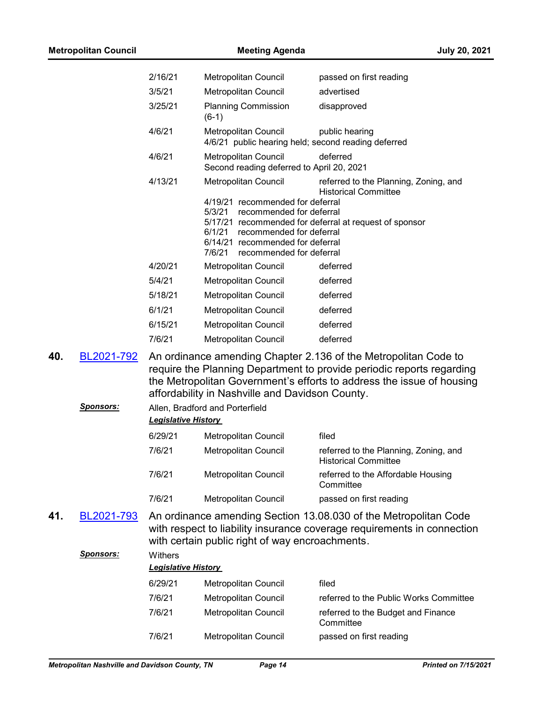| <b>Metropolitan Council</b> |                  |                                                                        | <b>Meeting Agenda</b>                                                                                                                                                                                                                                                                                                                                          | <b>July 20, 2021</b>                                                                                                                                                                                                                                                      |  |
|-----------------------------|------------------|------------------------------------------------------------------------|----------------------------------------------------------------------------------------------------------------------------------------------------------------------------------------------------------------------------------------------------------------------------------------------------------------------------------------------------------------|---------------------------------------------------------------------------------------------------------------------------------------------------------------------------------------------------------------------------------------------------------------------------|--|
|                             |                  | 2/16/21                                                                | Metropolitan Council                                                                                                                                                                                                                                                                                                                                           | passed on first reading                                                                                                                                                                                                                                                   |  |
|                             |                  | 3/5/21                                                                 | Metropolitan Council                                                                                                                                                                                                                                                                                                                                           | advertised                                                                                                                                                                                                                                                                |  |
|                             |                  | 3/25/21                                                                | <b>Planning Commission</b><br>$(6-1)$                                                                                                                                                                                                                                                                                                                          | disapproved                                                                                                                                                                                                                                                               |  |
|                             |                  | 4/6/21                                                                 | Metropolitan Council                                                                                                                                                                                                                                                                                                                                           | public hearing<br>4/6/21 public hearing held; second reading deferred                                                                                                                                                                                                     |  |
|                             |                  | 4/6/21                                                                 | Metropolitan Council<br>Second reading deferred to April 20, 2021                                                                                                                                                                                                                                                                                              | deferred                                                                                                                                                                                                                                                                  |  |
| 40.                         | BL2021-792       | 4/13/21<br>4/20/21<br>5/4/21<br>5/18/21<br>6/1/21<br>6/15/21<br>7/6/21 | Metropolitan Council<br>4/19/21 recommended for deferral<br>5/3/21<br>recommended for deferral<br>6/1/21<br>recommended for deferral<br>6/14/21 recommended for deferral<br>7/6/21<br>recommended for deferral<br>Metropolitan Council<br>Metropolitan Council<br>Metropolitan Council<br>Metropolitan Council<br>Metropolitan Council<br>Metropolitan Council | referred to the Planning, Zoning, and<br><b>Historical Committee</b><br>5/17/21 recommended for deferral at request of sponsor<br>deferred<br>deferred<br>deferred<br>deferred<br>deferred<br>deferred<br>An ordinance amending Chapter 2.136 of the Metropolitan Code to |  |
|                             |                  |                                                                        | affordability in Nashville and Davidson County.                                                                                                                                                                                                                                                                                                                | require the Planning Department to provide periodic reports regarding<br>the Metropolitan Government's efforts to address the issue of housing                                                                                                                            |  |
|                             | <u>Sponsors:</u> | <b>Leaislative History</b>                                             | Allen, Bradford and Porterfield                                                                                                                                                                                                                                                                                                                                |                                                                                                                                                                                                                                                                           |  |
|                             |                  | 6/29/21                                                                | <b>Metropolitan Council</b>                                                                                                                                                                                                                                                                                                                                    | filed                                                                                                                                                                                                                                                                     |  |
|                             |                  | 7/6/21                                                                 | Metropolitan Council                                                                                                                                                                                                                                                                                                                                           | referred to the Planning, Zoning, and<br><b>Historical Committee</b>                                                                                                                                                                                                      |  |
|                             |                  | 7/6/21                                                                 | Metropolitan Council                                                                                                                                                                                                                                                                                                                                           | referred to the Affordable Housing<br>Committee                                                                                                                                                                                                                           |  |
|                             |                  | 7/6/21                                                                 | Metropolitan Council                                                                                                                                                                                                                                                                                                                                           | passed on first reading                                                                                                                                                                                                                                                   |  |
| 41.                         | BL2021-793       |                                                                        | with certain public right of way encroachments.                                                                                                                                                                                                                                                                                                                | An ordinance amending Section 13.08.030 of the Metropolitan Code<br>with respect to liability insurance coverage requirements in connection                                                                                                                               |  |
|                             | <b>Sponsors:</b> | Withers<br><b>Legislative History</b>                                  |                                                                                                                                                                                                                                                                                                                                                                |                                                                                                                                                                                                                                                                           |  |
|                             |                  | 6/29/21                                                                | Metropolitan Council                                                                                                                                                                                                                                                                                                                                           | filed                                                                                                                                                                                                                                                                     |  |
|                             |                  | 7/6/21                                                                 | Metropolitan Council                                                                                                                                                                                                                                                                                                                                           | referred to the Public Works Committee                                                                                                                                                                                                                                    |  |
|                             |                  | 7/6/21                                                                 | Metropolitan Council                                                                                                                                                                                                                                                                                                                                           | referred to the Budget and Finance<br>Committee                                                                                                                                                                                                                           |  |

7/6/21 Metropolitan Council passed on first reading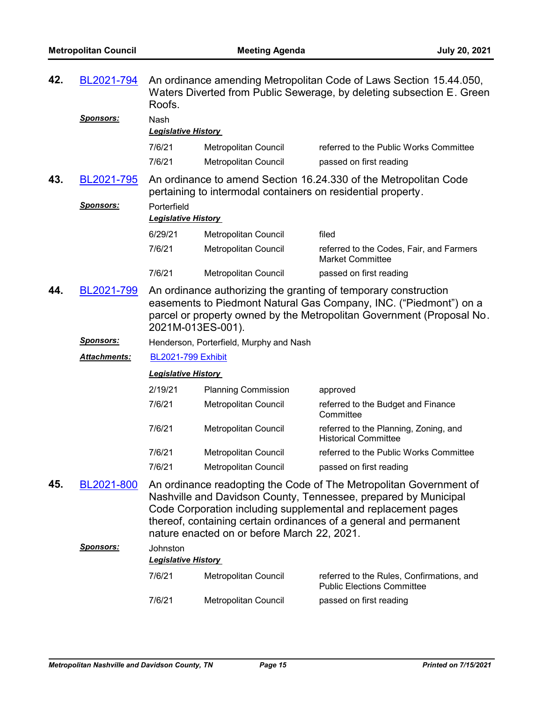| 42.                                                                                                                                                                                                             | BL2021-794<br><b>Sponsors:</b>                                                                                                                                                                                                                   | An ordinance amending Metropolitan Code of Laws Section 15.44.050,<br>Waters Diverted from Public Sewerage, by deleting subsection E. Green<br>Roofs.<br>Nash                                                                                                                                                              |                                         |                                                                                |
|-----------------------------------------------------------------------------------------------------------------------------------------------------------------------------------------------------------------|--------------------------------------------------------------------------------------------------------------------------------------------------------------------------------------------------------------------------------------------------|----------------------------------------------------------------------------------------------------------------------------------------------------------------------------------------------------------------------------------------------------------------------------------------------------------------------------|-----------------------------------------|--------------------------------------------------------------------------------|
|                                                                                                                                                                                                                 |                                                                                                                                                                                                                                                  | <b>Legislative History</b>                                                                                                                                                                                                                                                                                                 |                                         |                                                                                |
|                                                                                                                                                                                                                 |                                                                                                                                                                                                                                                  | 7/6/21                                                                                                                                                                                                                                                                                                                     | <b>Metropolitan Council</b>             | referred to the Public Works Committee                                         |
|                                                                                                                                                                                                                 |                                                                                                                                                                                                                                                  | 7/6/21                                                                                                                                                                                                                                                                                                                     | Metropolitan Council                    | passed on first reading                                                        |
| 43.<br>An ordinance to amend Section 16.24.330 of the Metropolitan Code<br>BL2021-795<br>pertaining to intermodal containers on residential property.<br>Sponsors:<br>Porterfield<br><b>Legislative History</b> |                                                                                                                                                                                                                                                  |                                                                                                                                                                                                                                                                                                                            |                                         |                                                                                |
|                                                                                                                                                                                                                 |                                                                                                                                                                                                                                                  | 6/29/21                                                                                                                                                                                                                                                                                                                    | Metropolitan Council                    | filed                                                                          |
|                                                                                                                                                                                                                 |                                                                                                                                                                                                                                                  | 7/6/21                                                                                                                                                                                                                                                                                                                     | Metropolitan Council                    | referred to the Codes, Fair, and Farmers<br><b>Market Committee</b>            |
|                                                                                                                                                                                                                 |                                                                                                                                                                                                                                                  | 7/6/21                                                                                                                                                                                                                                                                                                                     | Metropolitan Council                    | passed on first reading                                                        |
| 44.                                                                                                                                                                                                             | BL2021-799<br>An ordinance authorizing the granting of temporary construction<br>easements to Piedmont Natural Gas Company, INC. ("Piedmont") on a<br>parcel or property owned by the Metropolitan Government (Proposal No.<br>2021M-013ES-001). |                                                                                                                                                                                                                                                                                                                            |                                         |                                                                                |
|                                                                                                                                                                                                                 | <b>Sponsors:</b>                                                                                                                                                                                                                                 |                                                                                                                                                                                                                                                                                                                            | Henderson, Porterfield, Murphy and Nash |                                                                                |
|                                                                                                                                                                                                                 | Attachments:                                                                                                                                                                                                                                     | <b>BL2021-799 Exhibit</b>                                                                                                                                                                                                                                                                                                  |                                         |                                                                                |
|                                                                                                                                                                                                                 |                                                                                                                                                                                                                                                  | <b>Legislative History</b>                                                                                                                                                                                                                                                                                                 |                                         |                                                                                |
|                                                                                                                                                                                                                 |                                                                                                                                                                                                                                                  | 2/19/21                                                                                                                                                                                                                                                                                                                    | <b>Planning Commission</b>              | approved                                                                       |
|                                                                                                                                                                                                                 |                                                                                                                                                                                                                                                  | 7/6/21                                                                                                                                                                                                                                                                                                                     | Metropolitan Council                    | referred to the Budget and Finance<br>Committee                                |
|                                                                                                                                                                                                                 |                                                                                                                                                                                                                                                  | 7/6/21                                                                                                                                                                                                                                                                                                                     | <b>Metropolitan Council</b>             | referred to the Planning, Zoning, and<br><b>Historical Committee</b>           |
|                                                                                                                                                                                                                 |                                                                                                                                                                                                                                                  | 7/6/21                                                                                                                                                                                                                                                                                                                     | Metropolitan Council                    | referred to the Public Works Committee                                         |
|                                                                                                                                                                                                                 |                                                                                                                                                                                                                                                  | 7/6/21                                                                                                                                                                                                                                                                                                                     | Metropolitan Council                    | passed on first reading                                                        |
| 45.                                                                                                                                                                                                             | BL2021-800<br><u>Sponsors:</u>                                                                                                                                                                                                                   | An ordinance readopting the Code of The Metropolitan Government of<br>Nashville and Davidson County, Tennessee, prepared by Municipal<br>Code Corporation including supplemental and replacement pages<br>thereof, containing certain ordinances of a general and permanent<br>nature enacted on or before March 22, 2021. |                                         |                                                                                |
|                                                                                                                                                                                                                 |                                                                                                                                                                                                                                                  | Johnston<br><b>Legislative History</b>                                                                                                                                                                                                                                                                                     |                                         |                                                                                |
|                                                                                                                                                                                                                 |                                                                                                                                                                                                                                                  | 7/6/21                                                                                                                                                                                                                                                                                                                     | Metropolitan Council                    | referred to the Rules, Confirmations, and<br><b>Public Elections Committee</b> |
|                                                                                                                                                                                                                 |                                                                                                                                                                                                                                                  | 7/6/21                                                                                                                                                                                                                                                                                                                     | Metropolitan Council                    | passed on first reading                                                        |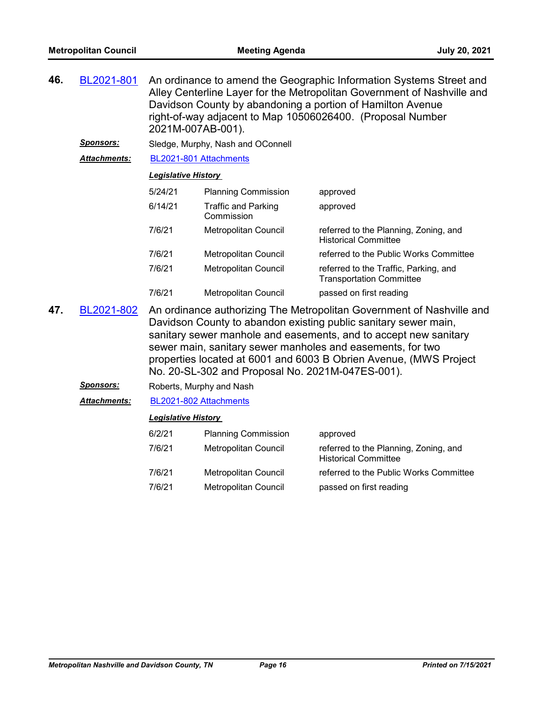| 46. | BL2021-801          | An ordinance to amend the Geographic Information Systems Street and<br>Alley Centerline Layer for the Metropolitan Government of Nashville and<br>Davidson County by abandoning a portion of Hamilton Avenue<br>right-of-way adjacent to Map 10506026400. (Proposal Number<br>2021M-007AB-001). |                                          |                                                                          |  |  |
|-----|---------------------|-------------------------------------------------------------------------------------------------------------------------------------------------------------------------------------------------------------------------------------------------------------------------------------------------|------------------------------------------|--------------------------------------------------------------------------|--|--|
|     | <b>Sponsors:</b>    |                                                                                                                                                                                                                                                                                                 | Sledge, Murphy, Nash and OConnell        |                                                                          |  |  |
|     | <b>Attachments:</b> | BL2021-801 Attachments                                                                                                                                                                                                                                                                          |                                          |                                                                          |  |  |
|     |                     | <b>Legislative History</b>                                                                                                                                                                                                                                                                      |                                          |                                                                          |  |  |
|     |                     | 5/24/21                                                                                                                                                                                                                                                                                         | <b>Planning Commission</b>               | approved                                                                 |  |  |
|     |                     | 6/14/21                                                                                                                                                                                                                                                                                         | <b>Traffic and Parking</b><br>Commission | approved                                                                 |  |  |
|     |                     | 7/6/21                                                                                                                                                                                                                                                                                          | <b>Metropolitan Council</b>              | referred to the Planning, Zoning, and<br><b>Historical Committee</b>     |  |  |
|     |                     | 7/6/21                                                                                                                                                                                                                                                                                          | <b>Metropolitan Council</b>              | referred to the Public Works Committee                                   |  |  |
|     |                     | 7/6/21                                                                                                                                                                                                                                                                                          | <b>Metropolitan Council</b>              | referred to the Traffic, Parking, and<br><b>Transportation Committee</b> |  |  |
|     |                     | 7/6/21                                                                                                                                                                                                                                                                                          | <b>Metropolitan Council</b>              | passed on first reading                                                  |  |  |

- An ordinance authorizing The Metropolitan Government of Nashville and Davidson County to abandon existing public sanitary sewer main, sanitary sewer manhole and easements, and to accept new sanitary sewer main, sanitary sewer manholes and easements, for two properties located at 6001 and 6003 B Obrien Avenue, (MWS Project No. 20-SL-302 and Proposal No. 2021M-047ES-001). **47.** [BL2021-802](http://nashville.legistar.com/gateway.aspx?m=l&id=/matter.aspx?key=2406)
	- **Sponsors:** Roberts, Murphy and Nash

*Attachments:* [BL2021-802 Attachments](http://nashville.legistar.com/gateway.aspx?M=F&ID=2dde0f0f-f768-464c-a669-dbb9a88b102f.pdf)

| 6/2/21 | <b>Planning Commission</b>  | approved                                                             |
|--------|-----------------------------|----------------------------------------------------------------------|
| 7/6/21 | <b>Metropolitan Council</b> | referred to the Planning, Zoning, and<br><b>Historical Committee</b> |
| 7/6/21 | Metropolitan Council        | referred to the Public Works Committee                               |
| 7/6/21 | <b>Metropolitan Council</b> | passed on first reading                                              |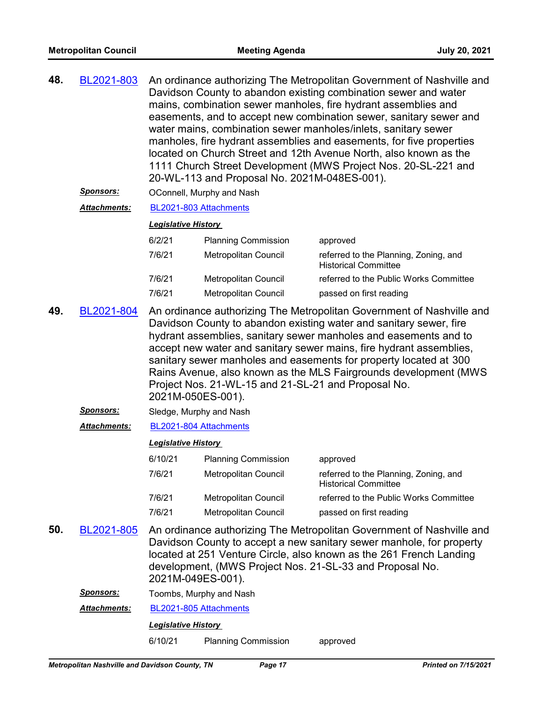| 48. | BL2021-803 | An ordinance authorizing The Metropolitan Government of Nashville and |
|-----|------------|-----------------------------------------------------------------------|
|     |            | Davidson County to abandon existing combination sewer and water       |
|     |            | mains, combination sewer manholes, fire hydrant assemblies and        |
|     |            | easements, and to accept new combination sewer, sanitary sewer and    |
|     |            | water mains, combination sewer manholes/inlets, sanitary sewer        |
|     |            | manholes, fire hydrant assemblies and easements, for five properties  |
|     |            | located on Church Street and 12th Avenue North, also known as the     |
|     |            | 1111 Church Street Development (MWS Project Nos. 20-SL-221 and        |
|     |            | 20-WL-113 and Proposal No. 2021M-048ES-001).                          |
|     |            |                                                                       |

**Sponsors: OConnell, Murphy and Nash** 

## *Attachments:* [BL2021-803 Attachments](http://nashville.legistar.com/gateway.aspx?M=F&ID=a29df99e-f65f-4cf2-a755-39f3431e66a0.pdf)

#### *Legislative History*

| 6/2/21 | <b>Planning Commission</b> | approved                                                             |
|--------|----------------------------|----------------------------------------------------------------------|
| 7/6/21 | Metropolitan Council       | referred to the Planning, Zoning, and<br><b>Historical Committee</b> |
| 7/6/21 | Metropolitan Council       | referred to the Public Works Committee                               |
| 7/6/21 | Metropolitan Council       | passed on first reading                                              |

- An ordinance authorizing The Metropolitan Government of Nashville and Davidson County to abandon existing water and sanitary sewer, fire hydrant assemblies, sanitary sewer manholes and easements and to accept new water and sanitary sewer mains, fire hydrant assemblies, sanitary sewer manholes and easements for property located at 300 Rains Avenue, also known as the MLS Fairgrounds development (MWS Project Nos. 21-WL-15 and 21-SL-21 and Proposal No. 2021M-050ES-001). **49.** [BL2021-804](http://nashville.legistar.com/gateway.aspx?m=l&id=/matter.aspx?key=2412)
	- *Sponsors:* Sledge, Murphy and Nash

# *Attachments:* [BL2021-804 Attachments](http://nashville.legistar.com/gateway.aspx?M=F&ID=314d2089-a2a1-4b70-85f6-99e48d9805a6.pdf)

### *Legislative History*

| 6/10/21 | <b>Planning Commission</b>  | approved                                                             |
|---------|-----------------------------|----------------------------------------------------------------------|
| 7/6/21  | Metropolitan Council        | referred to the Planning, Zoning, and<br><b>Historical Committee</b> |
| 7/6/21  | <b>Metropolitan Council</b> | referred to the Public Works Committee                               |
| 7/6/21  | Metropolitan Council        | passed on first reading                                              |

An ordinance authorizing The Metropolitan Government of Nashville and Davidson County to accept a new sanitary sewer manhole, for property located at 251 Venture Circle, also known as the 261 French Landing development, (MWS Project Nos. 21-SL-33 and Proposal No. 2021M-049ES-001). **50.** [BL2021-805](http://nashville.legistar.com/gateway.aspx?m=l&id=/matter.aspx?key=2413)

# *Sponsors:* Toombs, Murphy and Nash *Attachments:* [BL2021-805 Attachments](http://nashville.legistar.com/gateway.aspx?M=F&ID=a0157191-b55f-4dd6-9dc5-48ed5c20c091.pdf)

*Legislative History* 

6/10/21 Planning Commission approved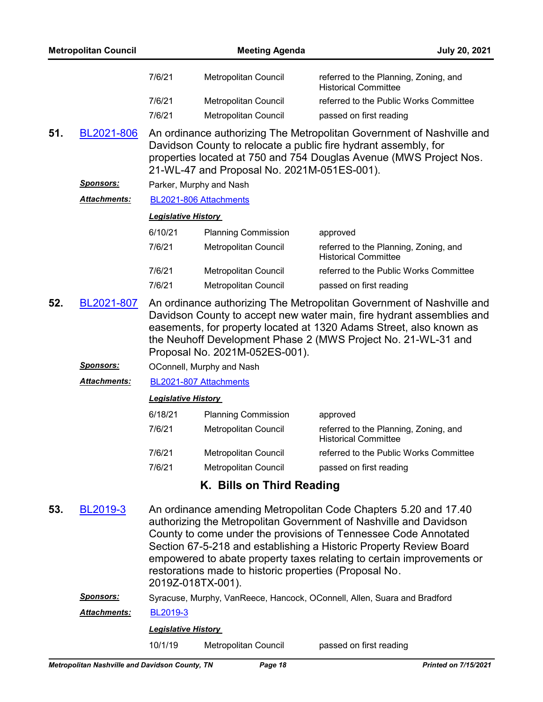|     | <b>Metropolitan Council</b>                    |                                                                                                                                                                                                                                                                                                                          | <b>Meeting Agenda</b>                                                                                                                                                                                                                                         | July 20, 2021                                                                                                                                                                                                                                                                                                                                          |  |  |  |
|-----|------------------------------------------------|--------------------------------------------------------------------------------------------------------------------------------------------------------------------------------------------------------------------------------------------------------------------------------------------------------------------------|---------------------------------------------------------------------------------------------------------------------------------------------------------------------------------------------------------------------------------------------------------------|--------------------------------------------------------------------------------------------------------------------------------------------------------------------------------------------------------------------------------------------------------------------------------------------------------------------------------------------------------|--|--|--|
|     |                                                | 7/6/21                                                                                                                                                                                                                                                                                                                   | Metropolitan Council                                                                                                                                                                                                                                          | referred to the Planning, Zoning, and<br><b>Historical Committee</b>                                                                                                                                                                                                                                                                                   |  |  |  |
|     |                                                | 7/6/21                                                                                                                                                                                                                                                                                                                   | Metropolitan Council                                                                                                                                                                                                                                          | referred to the Public Works Committee                                                                                                                                                                                                                                                                                                                 |  |  |  |
|     |                                                | 7/6/21                                                                                                                                                                                                                                                                                                                   | Metropolitan Council                                                                                                                                                                                                                                          | passed on first reading                                                                                                                                                                                                                                                                                                                                |  |  |  |
| 51. | BL2021-806                                     |                                                                                                                                                                                                                                                                                                                          | An ordinance authorizing The Metropolitan Government of Nashville and<br>Davidson County to relocate a public fire hydrant assembly, for<br>properties located at 750 and 754 Douglas Avenue (MWS Project Nos.<br>21-WL-47 and Proposal No. 2021M-051ES-001). |                                                                                                                                                                                                                                                                                                                                                        |  |  |  |
|     | <u>Sponsors:</u>                               |                                                                                                                                                                                                                                                                                                                          | Parker, Murphy and Nash                                                                                                                                                                                                                                       |                                                                                                                                                                                                                                                                                                                                                        |  |  |  |
|     | <b>Attachments:</b>                            |                                                                                                                                                                                                                                                                                                                          | BL2021-806 Attachments                                                                                                                                                                                                                                        |                                                                                                                                                                                                                                                                                                                                                        |  |  |  |
|     |                                                | <b>Legislative History</b>                                                                                                                                                                                                                                                                                               |                                                                                                                                                                                                                                                               |                                                                                                                                                                                                                                                                                                                                                        |  |  |  |
|     |                                                | 6/10/21                                                                                                                                                                                                                                                                                                                  | <b>Planning Commission</b>                                                                                                                                                                                                                                    | approved                                                                                                                                                                                                                                                                                                                                               |  |  |  |
|     |                                                | 7/6/21                                                                                                                                                                                                                                                                                                                   | Metropolitan Council                                                                                                                                                                                                                                          | referred to the Planning, Zoning, and<br><b>Historical Committee</b>                                                                                                                                                                                                                                                                                   |  |  |  |
|     |                                                | 7/6/21                                                                                                                                                                                                                                                                                                                   | <b>Metropolitan Council</b>                                                                                                                                                                                                                                   | referred to the Public Works Committee                                                                                                                                                                                                                                                                                                                 |  |  |  |
|     |                                                | 7/6/21                                                                                                                                                                                                                                                                                                                   | Metropolitan Council                                                                                                                                                                                                                                          | passed on first reading                                                                                                                                                                                                                                                                                                                                |  |  |  |
| 52. | BL2021-807                                     | An ordinance authorizing The Metropolitan Government of Nashville and<br>Davidson County to accept new water main, fire hydrant assemblies and<br>easements, for property located at 1320 Adams Street, also known as<br>the Neuhoff Development Phase 2 (MWS Project No. 21-WL-31 and<br>Proposal No. 2021M-052ES-001). |                                                                                                                                                                                                                                                               |                                                                                                                                                                                                                                                                                                                                                        |  |  |  |
|     | <u>Sponsors:</u>                               |                                                                                                                                                                                                                                                                                                                          | OConnell, Murphy and Nash                                                                                                                                                                                                                                     |                                                                                                                                                                                                                                                                                                                                                        |  |  |  |
|     | <b>Attachments:</b>                            |                                                                                                                                                                                                                                                                                                                          | BL2021-807 Attachments                                                                                                                                                                                                                                        |                                                                                                                                                                                                                                                                                                                                                        |  |  |  |
|     |                                                | <b>Legislative History</b>                                                                                                                                                                                                                                                                                               |                                                                                                                                                                                                                                                               |                                                                                                                                                                                                                                                                                                                                                        |  |  |  |
|     |                                                | 6/18/21                                                                                                                                                                                                                                                                                                                  | <b>Planning Commission</b>                                                                                                                                                                                                                                    | approved                                                                                                                                                                                                                                                                                                                                               |  |  |  |
|     |                                                | 7/6/21                                                                                                                                                                                                                                                                                                                   | Metropolitan Council                                                                                                                                                                                                                                          | referred to the Planning, Zoning, and<br>Historical Committee                                                                                                                                                                                                                                                                                          |  |  |  |
|     |                                                | 7/6/21                                                                                                                                                                                                                                                                                                                   | Metropolitan Council                                                                                                                                                                                                                                          | referred to the Public Works Committee                                                                                                                                                                                                                                                                                                                 |  |  |  |
|     |                                                | 7/6/21                                                                                                                                                                                                                                                                                                                   | Metropolitan Council                                                                                                                                                                                                                                          | passed on first reading                                                                                                                                                                                                                                                                                                                                |  |  |  |
|     |                                                |                                                                                                                                                                                                                                                                                                                          | K. Bills on Third Reading                                                                                                                                                                                                                                     |                                                                                                                                                                                                                                                                                                                                                        |  |  |  |
| 53. | BL2019-3                                       |                                                                                                                                                                                                                                                                                                                          | restorations made to historic properties (Proposal No.<br>2019Z-018TX-001).                                                                                                                                                                                   | An ordinance amending Metropolitan Code Chapters 5.20 and 17.40<br>authorizing the Metropolitan Government of Nashville and Davidson<br>County to come under the provisions of Tennessee Code Annotated<br>Section 67-5-218 and establishing a Historic Property Review Board<br>empowered to abate property taxes relating to certain improvements or |  |  |  |
|     | <b>Sponsors:</b>                               |                                                                                                                                                                                                                                                                                                                          |                                                                                                                                                                                                                                                               | Syracuse, Murphy, VanReece, Hancock, OConnell, Allen, Suara and Bradford                                                                                                                                                                                                                                                                               |  |  |  |
|     | Attachments:                                   | BL2019-3                                                                                                                                                                                                                                                                                                                 |                                                                                                                                                                                                                                                               |                                                                                                                                                                                                                                                                                                                                                        |  |  |  |
|     |                                                | <b>Legislative History</b>                                                                                                                                                                                                                                                                                               |                                                                                                                                                                                                                                                               |                                                                                                                                                                                                                                                                                                                                                        |  |  |  |
|     |                                                | 10/1/19                                                                                                                                                                                                                                                                                                                  | Metropolitan Council                                                                                                                                                                                                                                          | passed on first reading                                                                                                                                                                                                                                                                                                                                |  |  |  |
|     | Metropolitan Nashville and Davidson County, TN |                                                                                                                                                                                                                                                                                                                          | Page 18                                                                                                                                                                                                                                                       | <b>Printed on 7/15/2021</b>                                                                                                                                                                                                                                                                                                                            |  |  |  |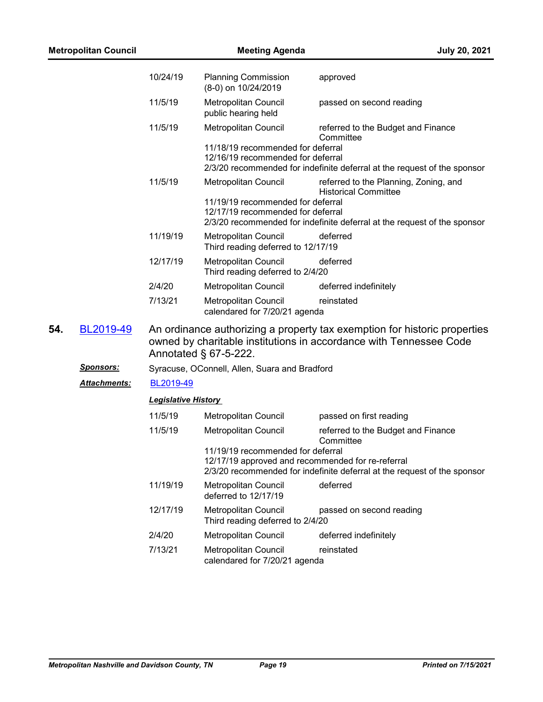| <b>Metropolitan Council</b> |                  |                                                                                                                                                                          | <b>Meeting Agenda</b><br><b>July 20, 2021</b>                                                                                                                      |                                                                          |  |  |
|-----------------------------|------------------|--------------------------------------------------------------------------------------------------------------------------------------------------------------------------|--------------------------------------------------------------------------------------------------------------------------------------------------------------------|--------------------------------------------------------------------------|--|--|
|                             |                  | 10/24/19                                                                                                                                                                 | <b>Planning Commission</b><br>(8-0) on 10/24/2019                                                                                                                  | approved                                                                 |  |  |
|                             |                  | 11/5/19                                                                                                                                                                  | Metropolitan Council<br>public hearing held                                                                                                                        | passed on second reading                                                 |  |  |
|                             |                  | 11/5/19                                                                                                                                                                  | Metropolitan Council<br>11/18/19 recommended for deferral                                                                                                          | referred to the Budget and Finance<br>Committee                          |  |  |
|                             |                  |                                                                                                                                                                          | 12/16/19 recommended for deferral                                                                                                                                  | 2/3/20 recommended for indefinite deferral at the request of the sponsor |  |  |
|                             |                  | 11/5/19                                                                                                                                                                  | Metropolitan Council                                                                                                                                               | referred to the Planning, Zoning, and<br><b>Historical Committee</b>     |  |  |
|                             |                  |                                                                                                                                                                          | 11/19/19 recommended for deferral<br>12/17/19 recommended for deferral                                                                                             | 2/3/20 recommended for indefinite deferral at the request of the sponsor |  |  |
|                             |                  | 11/19/19                                                                                                                                                                 | Metropolitan Council<br>Third reading deferred to 12/17/19                                                                                                         | deferred                                                                 |  |  |
|                             |                  | 12/17/19                                                                                                                                                                 | Metropolitan Council<br>Third reading deferred to 2/4/20                                                                                                           | deferred                                                                 |  |  |
|                             |                  | 2/4/20                                                                                                                                                                   | <b>Metropolitan Council</b>                                                                                                                                        | deferred indefinitely                                                    |  |  |
|                             |                  | 7/13/21                                                                                                                                                                  | Metropolitan Council<br>calendared for 7/20/21 agenda                                                                                                              | reinstated                                                               |  |  |
| 54.                         | BL2019-49        | An ordinance authorizing a property tax exemption for historic properties<br>owned by charitable institutions in accordance with Tennessee Code<br>Annotated § 67-5-222. |                                                                                                                                                                    |                                                                          |  |  |
|                             | <u>Sponsors:</u> |                                                                                                                                                                          | Syracuse, OConnell, Allen, Suara and Bradford                                                                                                                      |                                                                          |  |  |
|                             | Attachments:     | BL2019-49                                                                                                                                                                |                                                                                                                                                                    |                                                                          |  |  |
|                             |                  | <b>Legislative History</b>                                                                                                                                               |                                                                                                                                                                    |                                                                          |  |  |
|                             |                  | 11/5/19                                                                                                                                                                  | Metropolitan Council                                                                                                                                               | passed on first reading                                                  |  |  |
|                             |                  | 11/5/19                                                                                                                                                                  | Metropolitan Council                                                                                                                                               | referred to the Budget and Finance<br>Committee                          |  |  |
|                             |                  |                                                                                                                                                                          | 11/19/19 recommended for deferral<br>12/17/19 approved and recommended for re-referral<br>2/3/20 recommended for indefinite deferral at the request of the sponsor |                                                                          |  |  |
|                             |                  | 11/19/19                                                                                                                                                                 | Metropolitan Council<br>deferred to 12/17/19                                                                                                                       | deferred                                                                 |  |  |
|                             |                  | 12/17/19                                                                                                                                                                 | Metropolitan Council<br>Third reading deferred to 2/4/20                                                                                                           | passed on second reading                                                 |  |  |
|                             |                  | 2/4/20                                                                                                                                                                   | Metropolitan Council                                                                                                                                               | deferred indefinitely                                                    |  |  |
|                             |                  | 7/13/21                                                                                                                                                                  | Metropolitan Council<br>calendared for 7/20/21 agenda                                                                                                              | reinstated                                                               |  |  |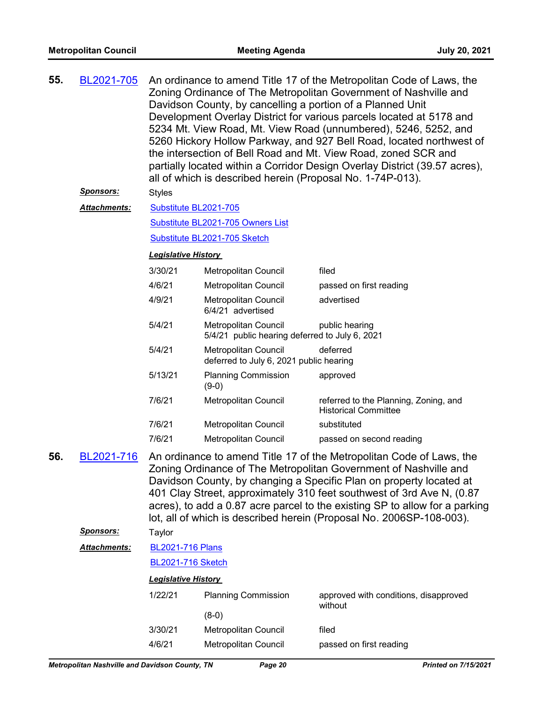| 55. | BL2021-705       | An ordinance to amend Title 17 of the Metropolitan Code of Laws, the<br>Zoning Ordinance of The Metropolitan Government of Nashville and<br>Davidson County, by cancelling a portion of a Planned Unit<br>Development Overlay District for various parcels located at 5178 and<br>5234 Mt. View Road, Mt. View Road (unnumbered), 5246, 5252, and<br>5260 Hickory Hollow Parkway, and 927 Bell Road, located northwest of<br>the intersection of Bell Road and Mt. View Road, zoned SCR and<br>partially located within a Corridor Design Overlay District (39.57 acres),<br>all of which is described herein (Proposal No. 1-74P-013). |                                                                        |                                                                                                                                                                                                                                                                                                                                                                                                                                                 |  |
|-----|------------------|-----------------------------------------------------------------------------------------------------------------------------------------------------------------------------------------------------------------------------------------------------------------------------------------------------------------------------------------------------------------------------------------------------------------------------------------------------------------------------------------------------------------------------------------------------------------------------------------------------------------------------------------|------------------------------------------------------------------------|-------------------------------------------------------------------------------------------------------------------------------------------------------------------------------------------------------------------------------------------------------------------------------------------------------------------------------------------------------------------------------------------------------------------------------------------------|--|
|     | <u>Sponsors:</u> | <b>Styles</b>                                                                                                                                                                                                                                                                                                                                                                                                                                                                                                                                                                                                                           |                                                                        |                                                                                                                                                                                                                                                                                                                                                                                                                                                 |  |
|     | Attachments:     | Substitute BL2021-705                                                                                                                                                                                                                                                                                                                                                                                                                                                                                                                                                                                                                   |                                                                        |                                                                                                                                                                                                                                                                                                                                                                                                                                                 |  |
|     |                  |                                                                                                                                                                                                                                                                                                                                                                                                                                                                                                                                                                                                                                         | Substitute BL2021-705 Owners List                                      |                                                                                                                                                                                                                                                                                                                                                                                                                                                 |  |
|     |                  |                                                                                                                                                                                                                                                                                                                                                                                                                                                                                                                                                                                                                                         | Substitute BL2021-705 Sketch                                           |                                                                                                                                                                                                                                                                                                                                                                                                                                                 |  |
|     |                  | <b>Legislative History</b>                                                                                                                                                                                                                                                                                                                                                                                                                                                                                                                                                                                                              |                                                                        |                                                                                                                                                                                                                                                                                                                                                                                                                                                 |  |
|     |                  | 3/30/21                                                                                                                                                                                                                                                                                                                                                                                                                                                                                                                                                                                                                                 | Metropolitan Council                                                   | filed                                                                                                                                                                                                                                                                                                                                                                                                                                           |  |
|     |                  | 4/6/21                                                                                                                                                                                                                                                                                                                                                                                                                                                                                                                                                                                                                                  | Metropolitan Council                                                   | passed on first reading                                                                                                                                                                                                                                                                                                                                                                                                                         |  |
|     |                  | 4/9/21                                                                                                                                                                                                                                                                                                                                                                                                                                                                                                                                                                                                                                  | Metropolitan Council<br>6/4/21 advertised                              | advertised                                                                                                                                                                                                                                                                                                                                                                                                                                      |  |
|     |                  | 5/4/21                                                                                                                                                                                                                                                                                                                                                                                                                                                                                                                                                                                                                                  | Metropolitan Council<br>5/4/21 public hearing deferred to July 6, 2021 | public hearing                                                                                                                                                                                                                                                                                                                                                                                                                                  |  |
|     |                  | deferred<br>5/4/21<br><b>Metropolitan Council</b><br>deferred to July 6, 2021 public hearing                                                                                                                                                                                                                                                                                                                                                                                                                                                                                                                                            |                                                                        |                                                                                                                                                                                                                                                                                                                                                                                                                                                 |  |
|     |                  | 5/13/21                                                                                                                                                                                                                                                                                                                                                                                                                                                                                                                                                                                                                                 | <b>Planning Commission</b><br>$(9-0)$                                  | approved                                                                                                                                                                                                                                                                                                                                                                                                                                        |  |
|     |                  | 7/6/21                                                                                                                                                                                                                                                                                                                                                                                                                                                                                                                                                                                                                                  | Metropolitan Council                                                   | referred to the Planning, Zoning, and<br><b>Historical Committee</b>                                                                                                                                                                                                                                                                                                                                                                            |  |
|     |                  | 7/6/21                                                                                                                                                                                                                                                                                                                                                                                                                                                                                                                                                                                                                                  | Metropolitan Council                                                   | substituted                                                                                                                                                                                                                                                                                                                                                                                                                                     |  |
|     |                  | 7/6/21                                                                                                                                                                                                                                                                                                                                                                                                                                                                                                                                                                                                                                  | Metropolitan Council                                                   | passed on second reading                                                                                                                                                                                                                                                                                                                                                                                                                        |  |
| 56. | BL2021-716       |                                                                                                                                                                                                                                                                                                                                                                                                                                                                                                                                                                                                                                         |                                                                        | An ordinance to amend Title 17 of the Metropolitan Code of Laws, the<br>Zoning Ordinance of The Metropolitan Government of Nashville and<br>Davidson County, by changing a Specific Plan on property located at<br>401 Clay Street, approximately 310 feet southwest of 3rd Ave N, (0.87<br>acres), to add a 0.87 acre parcel to the existing SP to allow for a parking<br>lot, all of which is described herein (Proposal No. 2006SP-108-003). |  |
|     | <u>Sponsors:</u> | Taylor                                                                                                                                                                                                                                                                                                                                                                                                                                                                                                                                                                                                                                  |                                                                        |                                                                                                                                                                                                                                                                                                                                                                                                                                                 |  |
|     | Attachments:     | <b>BL2021-716 Plans</b>                                                                                                                                                                                                                                                                                                                                                                                                                                                                                                                                                                                                                 |                                                                        |                                                                                                                                                                                                                                                                                                                                                                                                                                                 |  |
|     |                  | <b>BL2021-716 Sketch</b>                                                                                                                                                                                                                                                                                                                                                                                                                                                                                                                                                                                                                |                                                                        |                                                                                                                                                                                                                                                                                                                                                                                                                                                 |  |
|     |                  | <b>Legislative History</b>                                                                                                                                                                                                                                                                                                                                                                                                                                                                                                                                                                                                              |                                                                        |                                                                                                                                                                                                                                                                                                                                                                                                                                                 |  |
|     |                  | 1/22/21                                                                                                                                                                                                                                                                                                                                                                                                                                                                                                                                                                                                                                 | <b>Planning Commission</b>                                             | approved with conditions, disapproved<br>without                                                                                                                                                                                                                                                                                                                                                                                                |  |
|     |                  |                                                                                                                                                                                                                                                                                                                                                                                                                                                                                                                                                                                                                                         | $(8-0)$                                                                |                                                                                                                                                                                                                                                                                                                                                                                                                                                 |  |
|     |                  | 3/30/21                                                                                                                                                                                                                                                                                                                                                                                                                                                                                                                                                                                                                                 | Metropolitan Council                                                   | filed                                                                                                                                                                                                                                                                                                                                                                                                                                           |  |
|     |                  | 4/6/21                                                                                                                                                                                                                                                                                                                                                                                                                                                                                                                                                                                                                                  | Metropolitan Council                                                   | passed on first reading                                                                                                                                                                                                                                                                                                                                                                                                                         |  |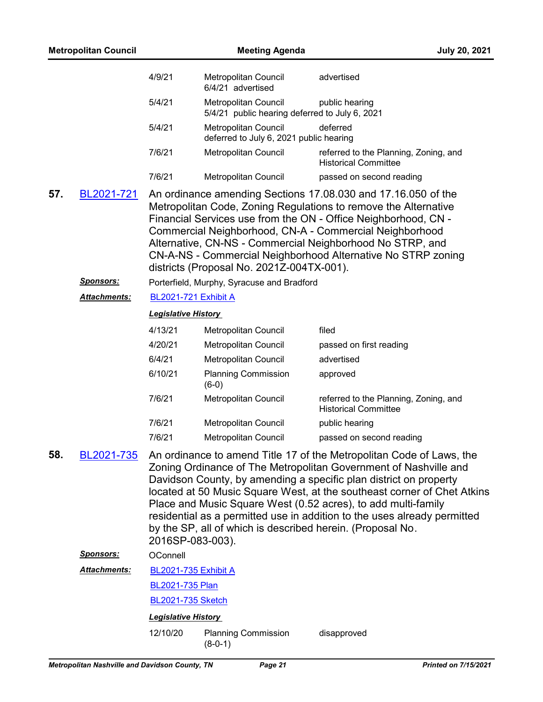| <b>Metropolitan Council</b> |                      |                             | <b>July 20, 2021</b>                                                   |                                                                                                                                                                                                                                                                                                                                                                                                                                       |
|-----------------------------|----------------------|-----------------------------|------------------------------------------------------------------------|---------------------------------------------------------------------------------------------------------------------------------------------------------------------------------------------------------------------------------------------------------------------------------------------------------------------------------------------------------------------------------------------------------------------------------------|
|                             |                      | 4/9/21                      | Metropolitan Council<br>6/4/21 advertised                              | advertised                                                                                                                                                                                                                                                                                                                                                                                                                            |
|                             |                      | 5/4/21                      | Metropolitan Council<br>5/4/21 public hearing deferred to July 6, 2021 | public hearing                                                                                                                                                                                                                                                                                                                                                                                                                        |
|                             |                      | 5/4/21                      | Metropolitan Council<br>deferred to July 6, 2021 public hearing        | deferred                                                                                                                                                                                                                                                                                                                                                                                                                              |
|                             |                      | 7/6/21                      | Metropolitan Council                                                   | referred to the Planning, Zoning, and<br><b>Historical Committee</b>                                                                                                                                                                                                                                                                                                                                                                  |
|                             |                      | 7/6/21                      | Metropolitan Council                                                   | passed on second reading                                                                                                                                                                                                                                                                                                                                                                                                              |
| 57.                         | BL2021-721           |                             | districts (Proposal No. 2021Z-004TX-001).                              | An ordinance amending Sections 17.08.030 and 17.16.050 of the<br>Metropolitan Code, Zoning Regulations to remove the Alternative<br>Financial Services use from the ON - Office Neighborhood, CN -<br>Commercial Neighborhood, CN-A - Commercial Neighborhood<br>Alternative, CN-NS - Commercial Neighborhood No STRP, and<br>CN-A-NS - Commercial Neighborhood Alternative No STRP zoning                                            |
|                             | <u>Sponsors:</u>     |                             | Porterfield, Murphy, Syracuse and Bradford                             |                                                                                                                                                                                                                                                                                                                                                                                                                                       |
|                             | Attachments:         | <b>BL2021-721 Exhibit A</b> |                                                                        |                                                                                                                                                                                                                                                                                                                                                                                                                                       |
|                             |                      | <b>Legislative History</b>  |                                                                        |                                                                                                                                                                                                                                                                                                                                                                                                                                       |
|                             |                      | 4/13/21                     | Metropolitan Council                                                   | filed                                                                                                                                                                                                                                                                                                                                                                                                                                 |
|                             |                      | 4/20/21                     | Metropolitan Council                                                   | passed on first reading                                                                                                                                                                                                                                                                                                                                                                                                               |
|                             |                      | 6/4/21                      | Metropolitan Council                                                   | advertised                                                                                                                                                                                                                                                                                                                                                                                                                            |
|                             |                      | 6/10/21                     | <b>Planning Commission</b><br>$(6-0)$                                  | approved                                                                                                                                                                                                                                                                                                                                                                                                                              |
|                             |                      | 7/6/21                      | Metropolitan Council                                                   | referred to the Planning, Zoning, and<br><b>Historical Committee</b>                                                                                                                                                                                                                                                                                                                                                                  |
|                             |                      | 7/6/21                      | Metropolitan Council                                                   | public hearing                                                                                                                                                                                                                                                                                                                                                                                                                        |
|                             |                      | 7/6/21                      | Metropolitan Council                                                   | passed on second reading                                                                                                                                                                                                                                                                                                                                                                                                              |
| 58.                         | BL2021-735           | 2016SP-083-003).            | by the SP, all of which is described herein. (Proposal No.             | An ordinance to amend Title 17 of the Metropolitan Code of Laws, the<br>Zoning Ordinance of The Metropolitan Government of Nashville and<br>Davidson County, by amending a specific plan district on property<br>located at 50 Music Square West, at the southeast corner of Chet Atkins<br>Place and Music Square West (0.52 acres), to add multi-family<br>residential as a permitted use in addition to the uses already permitted |
|                             | <u>Sponsors:</u>     | OConnell                    |                                                                        |                                                                                                                                                                                                                                                                                                                                                                                                                                       |
|                             | <u> Attachments:</u> | <b>BL2021-735 Exhibit A</b> |                                                                        |                                                                                                                                                                                                                                                                                                                                                                                                                                       |
|                             |                      | <b>BL2021-735 Plan</b>      |                                                                        |                                                                                                                                                                                                                                                                                                                                                                                                                                       |
|                             |                      | BL2021-735 Sketch           |                                                                        |                                                                                                                                                                                                                                                                                                                                                                                                                                       |
|                             |                      | <b>Legislative History</b>  |                                                                        |                                                                                                                                                                                                                                                                                                                                                                                                                                       |
|                             |                      | 12/10/20                    | <b>Planning Commission</b><br>$(8-0-1)$                                | disapproved                                                                                                                                                                                                                                                                                                                                                                                                                           |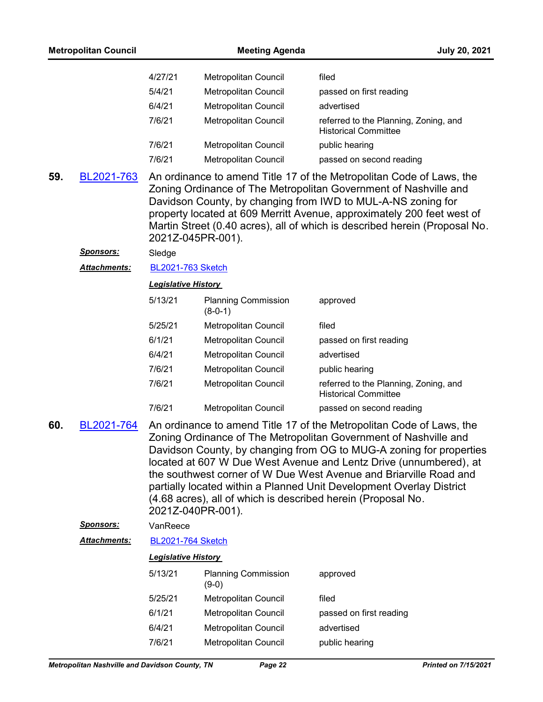| <b>Metropolitan Council</b> |                                                | <b>Meeting Agenda</b>      |                                                              | <b>July 20, 2021</b>                                                                                                                                                                                                                                                                                                                                                                                                              |
|-----------------------------|------------------------------------------------|----------------------------|--------------------------------------------------------------|-----------------------------------------------------------------------------------------------------------------------------------------------------------------------------------------------------------------------------------------------------------------------------------------------------------------------------------------------------------------------------------------------------------------------------------|
|                             |                                                | 4/27/21                    | Metropolitan Council                                         | filed                                                                                                                                                                                                                                                                                                                                                                                                                             |
|                             |                                                | 5/4/21                     | Metropolitan Council                                         | passed on first reading                                                                                                                                                                                                                                                                                                                                                                                                           |
|                             |                                                | 6/4/21                     | Metropolitan Council                                         | advertised                                                                                                                                                                                                                                                                                                                                                                                                                        |
|                             |                                                | 7/6/21                     | Metropolitan Council                                         | referred to the Planning, Zoning, and<br><b>Historical Committee</b>                                                                                                                                                                                                                                                                                                                                                              |
|                             |                                                | 7/6/21                     | Metropolitan Council                                         | public hearing                                                                                                                                                                                                                                                                                                                                                                                                                    |
|                             |                                                | 7/6/21                     | Metropolitan Council                                         | passed on second reading                                                                                                                                                                                                                                                                                                                                                                                                          |
| 59.                         | BL2021-763                                     | 2021Z-045PR-001).          |                                                              | An ordinance to amend Title 17 of the Metropolitan Code of Laws, the<br>Zoning Ordinance of The Metropolitan Government of Nashville and<br>Davidson County, by changing from IWD to MUL-A-NS zoning for<br>property located at 609 Merritt Avenue, approximately 200 feet west of<br>Martin Street (0.40 acres), all of which is described herein (Proposal No.                                                                  |
|                             | <u>Sponsors:</u>                               | Sledge                     |                                                              |                                                                                                                                                                                                                                                                                                                                                                                                                                   |
|                             | Attachments:                                   | <b>BL2021-763 Sketch</b>   |                                                              |                                                                                                                                                                                                                                                                                                                                                                                                                                   |
|                             |                                                | <b>Legislative History</b> |                                                              |                                                                                                                                                                                                                                                                                                                                                                                                                                   |
|                             |                                                | 5/13/21                    | <b>Planning Commission</b><br>$(8-0-1)$                      | approved                                                                                                                                                                                                                                                                                                                                                                                                                          |
|                             |                                                | 5/25/21                    | Metropolitan Council                                         | filed                                                                                                                                                                                                                                                                                                                                                                                                                             |
|                             |                                                | 6/1/21                     | Metropolitan Council                                         | passed on first reading                                                                                                                                                                                                                                                                                                                                                                                                           |
|                             |                                                | 6/4/21                     | Metropolitan Council                                         | advertised                                                                                                                                                                                                                                                                                                                                                                                                                        |
|                             |                                                | 7/6/21                     | Metropolitan Council                                         | public hearing                                                                                                                                                                                                                                                                                                                                                                                                                    |
|                             |                                                | 7/6/21                     | Metropolitan Council                                         | referred to the Planning, Zoning, and<br><b>Historical Committee</b>                                                                                                                                                                                                                                                                                                                                                              |
|                             |                                                | 7/6/21                     | Metropolitan Council                                         | passed on second reading                                                                                                                                                                                                                                                                                                                                                                                                          |
| 60.                         | BL2021-764                                     | 2021Z-040PR-001).          | (4.68 acres), all of which is described herein (Proposal No. | An ordinance to amend Title 17 of the Metropolitan Code of Laws, the<br>Zoning Ordinance of The Metropolitan Government of Nashville and<br>Davidson County, by changing from OG to MUG-A zoning for properties<br>located at 607 W Due West Avenue and Lentz Drive (unnumbered), at<br>the southwest corner of W Due West Avenue and Briarville Road and<br>partially located within a Planned Unit Development Overlay District |
|                             | Sponsors:                                      | VanReece                   |                                                              |                                                                                                                                                                                                                                                                                                                                                                                                                                   |
|                             | <b>Attachments:</b>                            | <b>BL2021-764 Sketch</b>   |                                                              |                                                                                                                                                                                                                                                                                                                                                                                                                                   |
|                             |                                                | <b>Legislative History</b> |                                                              |                                                                                                                                                                                                                                                                                                                                                                                                                                   |
|                             |                                                | 5/13/21                    | <b>Planning Commission</b><br>$(9-0)$                        | approved                                                                                                                                                                                                                                                                                                                                                                                                                          |
|                             |                                                | 5/25/21                    | Metropolitan Council                                         | filed                                                                                                                                                                                                                                                                                                                                                                                                                             |
|                             |                                                | 6/1/21                     | Metropolitan Council                                         | passed on first reading                                                                                                                                                                                                                                                                                                                                                                                                           |
|                             |                                                | 6/4/21                     | Metropolitan Council                                         | advertised                                                                                                                                                                                                                                                                                                                                                                                                                        |
|                             |                                                | 7/6/21                     | Metropolitan Council                                         | public hearing                                                                                                                                                                                                                                                                                                                                                                                                                    |
|                             | Metropolitan Nashville and Davidson County, TN |                            | Page 22                                                      | <b>Printed on 7/15/2021</b>                                                                                                                                                                                                                                                                                                                                                                                                       |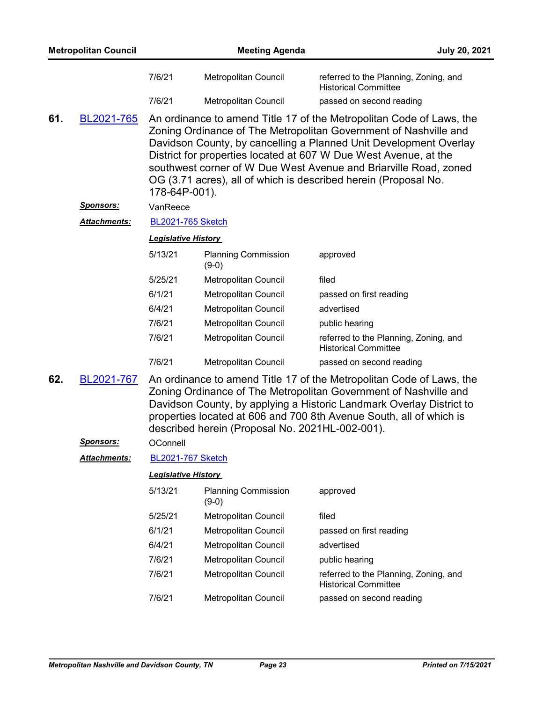|     | <b>Metropolitan Council</b> |                            | <b>Meeting Agenda</b>                           | <b>July 20, 2021</b>                                                                                                                                                                                                                                                                                                                                                                                                     |
|-----|-----------------------------|----------------------------|-------------------------------------------------|--------------------------------------------------------------------------------------------------------------------------------------------------------------------------------------------------------------------------------------------------------------------------------------------------------------------------------------------------------------------------------------------------------------------------|
|     |                             | 7/6/21                     | Metropolitan Council                            | referred to the Planning, Zoning, and<br><b>Historical Committee</b>                                                                                                                                                                                                                                                                                                                                                     |
|     |                             | 7/6/21                     | Metropolitan Council                            | passed on second reading                                                                                                                                                                                                                                                                                                                                                                                                 |
| 61. | BL2021-765                  | 178-64P-001).              |                                                 | An ordinance to amend Title 17 of the Metropolitan Code of Laws, the<br>Zoning Ordinance of The Metropolitan Government of Nashville and<br>Davidson County, by cancelling a Planned Unit Development Overlay<br>District for properties located at 607 W Due West Avenue, at the<br>southwest corner of W Due West Avenue and Briarville Road, zoned<br>OG (3.71 acres), all of which is described herein (Proposal No. |
|     | <u>Sponsors:</u>            | VanReece                   |                                                 |                                                                                                                                                                                                                                                                                                                                                                                                                          |
|     | Attachments:                | <b>BL2021-765 Sketch</b>   |                                                 |                                                                                                                                                                                                                                                                                                                                                                                                                          |
|     |                             | <b>Legislative History</b> |                                                 |                                                                                                                                                                                                                                                                                                                                                                                                                          |
|     |                             | 5/13/21                    | <b>Planning Commission</b><br>$(9-0)$           | approved                                                                                                                                                                                                                                                                                                                                                                                                                 |
|     |                             | 5/25/21                    | <b>Metropolitan Council</b>                     | filed                                                                                                                                                                                                                                                                                                                                                                                                                    |
|     |                             | 6/1/21                     | <b>Metropolitan Council</b>                     | passed on first reading                                                                                                                                                                                                                                                                                                                                                                                                  |
|     |                             | 6/4/21                     | Metropolitan Council                            | advertised                                                                                                                                                                                                                                                                                                                                                                                                               |
|     |                             | 7/6/21                     | Metropolitan Council                            | public hearing                                                                                                                                                                                                                                                                                                                                                                                                           |
|     |                             | 7/6/21                     | Metropolitan Council                            | referred to the Planning, Zoning, and<br><b>Historical Committee</b>                                                                                                                                                                                                                                                                                                                                                     |
|     |                             | 7/6/21                     | Metropolitan Council                            | passed on second reading                                                                                                                                                                                                                                                                                                                                                                                                 |
| 62. | BL2021-767                  |                            | described herein (Proposal No. 2021HL-002-001). | An ordinance to amend Title 17 of the Metropolitan Code of Laws, the<br>Zoning Ordinance of The Metropolitan Government of Nashville and<br>Davidson County, by applying a Historic Landmark Overlay District to<br>properties located at 606 and 700 8th Avenue South, all of which is                                                                                                                                  |
|     | <b>Sponsors:</b>            | OConnell                   |                                                 |                                                                                                                                                                                                                                                                                                                                                                                                                          |
|     | Attachments:                | <b>BL2021-767 Sketch</b>   |                                                 |                                                                                                                                                                                                                                                                                                                                                                                                                          |
|     |                             | <b>Legislative History</b> |                                                 |                                                                                                                                                                                                                                                                                                                                                                                                                          |
|     |                             | 5/13/21                    | <b>Planning Commission</b><br>$(9-0)$           | approved                                                                                                                                                                                                                                                                                                                                                                                                                 |
|     |                             | 5/25/21                    | <b>Metropolitan Council</b>                     | filed                                                                                                                                                                                                                                                                                                                                                                                                                    |
|     |                             | 6/1/21                     | Metropolitan Council                            | passed on first reading                                                                                                                                                                                                                                                                                                                                                                                                  |
|     |                             | 6/4/21                     | Metropolitan Council                            | advertised                                                                                                                                                                                                                                                                                                                                                                                                               |
|     |                             | 7/6/21                     | Metropolitan Council                            | public hearing                                                                                                                                                                                                                                                                                                                                                                                                           |
|     |                             | 7/6/21                     | Metropolitan Council                            | referred to the Planning, Zoning, and                                                                                                                                                                                                                                                                                                                                                                                    |

Historical Committee

7/6/21 Metropolitan Council passed on second reading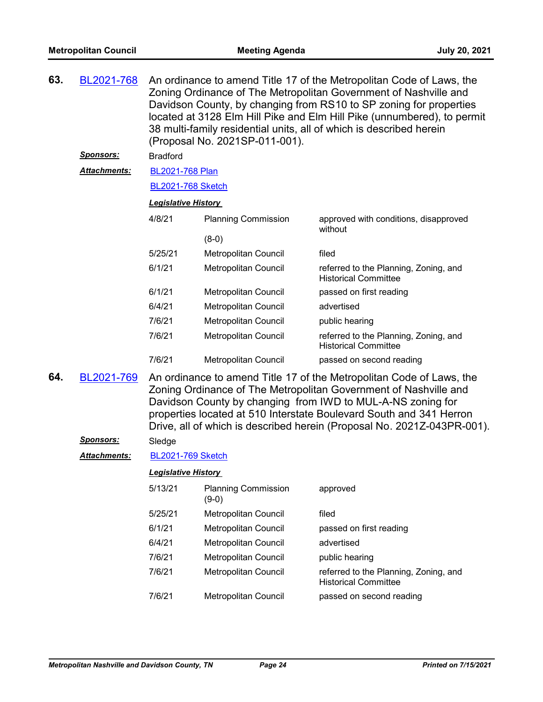| 63. | BL2021-768          | An ordinance to amend Title 17 of the Metropolitan Code of Laws, the<br>Zoning Ordinance of The Metropolitan Government of Nashville and<br>Davidson County, by changing from RS10 to SP zoning for properties<br>located at 3128 Elm Hill Pike and Elm Hill Pike (unnumbered), to permit<br>38 multi-family residential units, all of which is described herein<br>(Proposal No. 2021SP-011-001). |                             |                                                                                                                                          |  |  |
|-----|---------------------|----------------------------------------------------------------------------------------------------------------------------------------------------------------------------------------------------------------------------------------------------------------------------------------------------------------------------------------------------------------------------------------------------|-----------------------------|------------------------------------------------------------------------------------------------------------------------------------------|--|--|
|     | <b>Sponsors:</b>    | <b>Bradford</b>                                                                                                                                                                                                                                                                                                                                                                                    |                             |                                                                                                                                          |  |  |
|     | <b>Attachments:</b> | <b>BL2021-768 Plan</b>                                                                                                                                                                                                                                                                                                                                                                             |                             |                                                                                                                                          |  |  |
|     |                     | <b>BL2021-768 Sketch</b>                                                                                                                                                                                                                                                                                                                                                                           |                             |                                                                                                                                          |  |  |
|     |                     | <b>Legislative History</b>                                                                                                                                                                                                                                                                                                                                                                         |                             |                                                                                                                                          |  |  |
|     |                     | 4/8/21                                                                                                                                                                                                                                                                                                                                                                                             | <b>Planning Commission</b>  | approved with conditions, disapproved<br>without                                                                                         |  |  |
|     |                     |                                                                                                                                                                                                                                                                                                                                                                                                    | $(8-0)$                     |                                                                                                                                          |  |  |
|     |                     | 5/25/21                                                                                                                                                                                                                                                                                                                                                                                            | <b>Metropolitan Council</b> | filed                                                                                                                                    |  |  |
|     |                     | 6/1/21                                                                                                                                                                                                                                                                                                                                                                                             | Metropolitan Council        | referred to the Planning, Zoning, and<br><b>Historical Committee</b>                                                                     |  |  |
|     |                     | 6/1/21                                                                                                                                                                                                                                                                                                                                                                                             | Metropolitan Council        | passed on first reading                                                                                                                  |  |  |
|     |                     | 6/4/21                                                                                                                                                                                                                                                                                                                                                                                             | Metropolitan Council        | advertised                                                                                                                               |  |  |
|     |                     | 7/6/21                                                                                                                                                                                                                                                                                                                                                                                             | Metropolitan Council        | public hearing                                                                                                                           |  |  |
|     |                     | 7/6/21                                                                                                                                                                                                                                                                                                                                                                                             | Metropolitan Council        | referred to the Planning, Zoning, and<br><b>Historical Committee</b>                                                                     |  |  |
|     |                     | 7/6/21                                                                                                                                                                                                                                                                                                                                                                                             | <b>Metropolitan Council</b> | passed on second reading                                                                                                                 |  |  |
| 64. | BL2021-769          |                                                                                                                                                                                                                                                                                                                                                                                                    |                             | An ordinance to amend Title 17 of the Metropolitan Code of Laws, the<br>Zoning Ordinance of The Metropolitan Government of Nashville and |  |  |

Zoning Ordinance of The Metropolitan Government of Nashville and Davidson County by changing from IWD to MUL-A-NS zoning for properties located at 510 Interstate Boulevard South and 341 Herron Drive, all of which is described herein (Proposal No. 2021Z-043PR-001). *Sponsors:* Sledge

# Attachments: [BL2021-769 Sketch](http://nashville.legistar.com/gateway.aspx?M=F&ID=7f7f8cf2-907b-450f-88a7-9e8b0388d0fb.docx)

| 5/13/21 | <b>Planning Commission</b><br>(9-0) | approved                                                             |
|---------|-------------------------------------|----------------------------------------------------------------------|
| 5/25/21 | <b>Metropolitan Council</b>         | filed                                                                |
| 6/1/21  | <b>Metropolitan Council</b>         | passed on first reading                                              |
| 6/4/21  | <b>Metropolitan Council</b>         | advertised                                                           |
| 7/6/21  | <b>Metropolitan Council</b>         | public hearing                                                       |
| 7/6/21  | <b>Metropolitan Council</b>         | referred to the Planning, Zoning, and<br><b>Historical Committee</b> |
| 7/6/21  | <b>Metropolitan Council</b>         | passed on second reading                                             |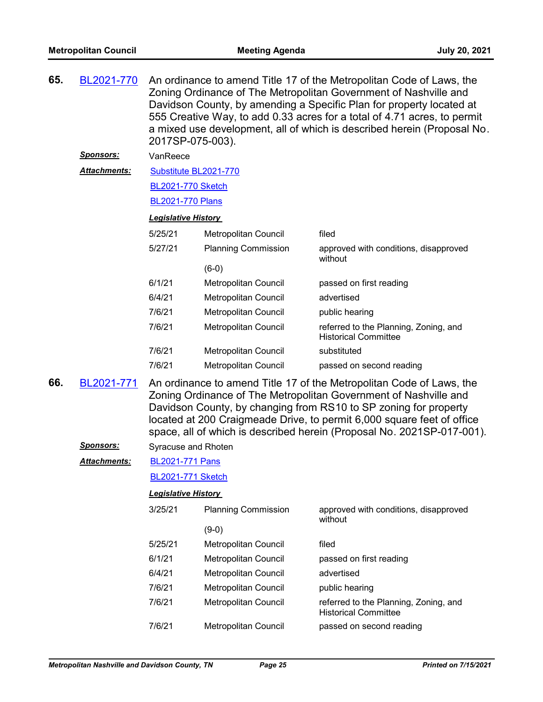| 65. | BL2021-770          | An ordinance to amend Title 17 of the Metropolitan Code of Laws, the<br>Zoning Ordinance of The Metropolitan Government of Nashville and<br>Davidson County, by amending a Specific Plan for property located at<br>555 Creative Way, to add 0.33 acres for a total of 4.71 acres, to permit<br>a mixed use development, all of which is described herein (Proposal No.<br>2017SP-075-003). |                             |                                                                                                                                                                                                              |  |  |
|-----|---------------------|---------------------------------------------------------------------------------------------------------------------------------------------------------------------------------------------------------------------------------------------------------------------------------------------------------------------------------------------------------------------------------------------|-----------------------------|--------------------------------------------------------------------------------------------------------------------------------------------------------------------------------------------------------------|--|--|
|     | <u>Sponsors:</u>    | VanReece                                                                                                                                                                                                                                                                                                                                                                                    |                             |                                                                                                                                                                                                              |  |  |
|     | <b>Attachments:</b> | Substitute BL2021-770                                                                                                                                                                                                                                                                                                                                                                       |                             |                                                                                                                                                                                                              |  |  |
|     |                     | <b>BL2021-770 Sketch</b>                                                                                                                                                                                                                                                                                                                                                                    |                             |                                                                                                                                                                                                              |  |  |
|     |                     | <b>BL2021-770 Plans</b>                                                                                                                                                                                                                                                                                                                                                                     |                             |                                                                                                                                                                                                              |  |  |
|     |                     | <b>Legislative History</b>                                                                                                                                                                                                                                                                                                                                                                  |                             |                                                                                                                                                                                                              |  |  |
|     |                     | 5/25/21                                                                                                                                                                                                                                                                                                                                                                                     | Metropolitan Council        | filed                                                                                                                                                                                                        |  |  |
|     |                     | 5/27/21                                                                                                                                                                                                                                                                                                                                                                                     | <b>Planning Commission</b>  | approved with conditions, disapproved<br>without                                                                                                                                                             |  |  |
|     |                     |                                                                                                                                                                                                                                                                                                                                                                                             | $(6-0)$                     |                                                                                                                                                                                                              |  |  |
|     |                     | 6/1/21                                                                                                                                                                                                                                                                                                                                                                                      | Metropolitan Council        | passed on first reading                                                                                                                                                                                      |  |  |
|     |                     | 6/4/21                                                                                                                                                                                                                                                                                                                                                                                      | Metropolitan Council        | advertised                                                                                                                                                                                                   |  |  |
|     |                     | 7/6/21                                                                                                                                                                                                                                                                                                                                                                                      | Metropolitan Council        | public hearing                                                                                                                                                                                               |  |  |
|     |                     | 7/6/21                                                                                                                                                                                                                                                                                                                                                                                      | Metropolitan Council        | referred to the Planning, Zoning, and<br><b>Historical Committee</b>                                                                                                                                         |  |  |
|     |                     | 7/6/21                                                                                                                                                                                                                                                                                                                                                                                      | Metropolitan Council        | substituted                                                                                                                                                                                                  |  |  |
|     |                     | 7/6/21                                                                                                                                                                                                                                                                                                                                                                                      | <b>Metropolitan Council</b> | passed on second reading                                                                                                                                                                                     |  |  |
| 66. | BL2021-771          |                                                                                                                                                                                                                                                                                                                                                                                             |                             | An ordinance to amend Title 17 of the Metropolitan Code of Laws, the<br>Zoning Ordinance of The Metropolitan Government of Nashville and<br>Davidson County, by changing from RS10 to SP zoning for property |  |  |

space, all of which is described herein (Proposal No. 2021SP-017-001).

*Sponsors:* Syracuse and Rhoten

[BL2021-771 Pans](http://nashville.legistar.com/gateway.aspx?M=F&ID=ab8fad53-f720-43a1-9754-fdd82283a6c1.pdf) *Attachments:*

[BL2021-771 Sketch](http://nashville.legistar.com/gateway.aspx?M=F&ID=505194d1-a0c6-4d52-bc1e-65f949b2ea40.docx)

# *Legislative History*

| 3/25/21 | <b>Planning Commission</b>  | approved with conditions, disapproved<br>without                     |  |
|---------|-----------------------------|----------------------------------------------------------------------|--|
|         | (9-0)                       |                                                                      |  |
| 5/25/21 | <b>Metropolitan Council</b> | filed                                                                |  |
| 6/1/21  | Metropolitan Council        | passed on first reading                                              |  |
| 6/4/21  | Metropolitan Council        | advertised                                                           |  |
| 7/6/21  | Metropolitan Council        | public hearing                                                       |  |
| 7/6/21  | Metropolitan Council        | referred to the Planning, Zoning, and<br><b>Historical Committee</b> |  |
| 7/6/21  | Metropolitan Council        | passed on second reading                                             |  |

located at 200 Craigmeade Drive, to permit 6,000 square feet of office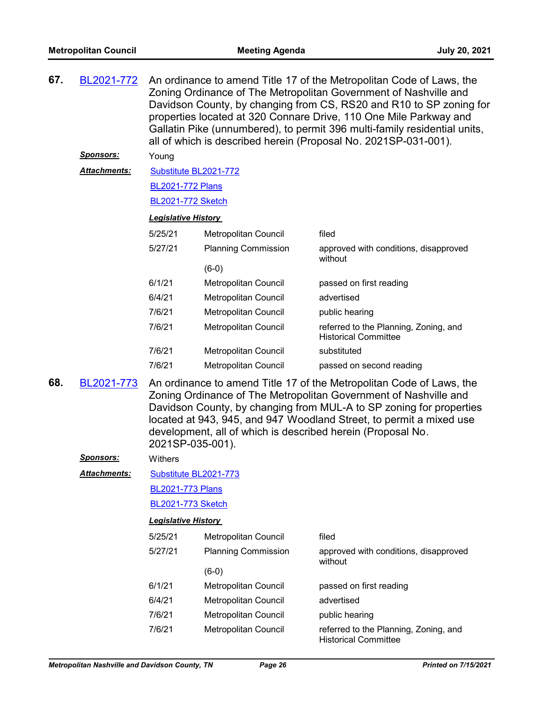| 67. | BL2021-772          | An ordinance to amend Title 17 of the Metropolitan Code of Laws, the<br>Zoning Ordinance of The Metropolitan Government of Nashville and<br>Davidson County, by changing from CS, RS20 and R10 to SP zoning for<br>properties located at 320 Connare Drive, 110 One Mile Parkway and<br>Gallatin Pike (unnumbered), to permit 396 multi-family residential units,<br>all of which is described herein (Proposal No. 2021SP-031-001). |                             |                                                                      |  |
|-----|---------------------|--------------------------------------------------------------------------------------------------------------------------------------------------------------------------------------------------------------------------------------------------------------------------------------------------------------------------------------------------------------------------------------------------------------------------------------|-----------------------------|----------------------------------------------------------------------|--|
|     | <b>Sponsors:</b>    | Young                                                                                                                                                                                                                                                                                                                                                                                                                                |                             |                                                                      |  |
|     | Attachments:        | Substitute BL2021-772                                                                                                                                                                                                                                                                                                                                                                                                                |                             |                                                                      |  |
|     |                     | <b>BL2021-772 Plans</b>                                                                                                                                                                                                                                                                                                                                                                                                              |                             |                                                                      |  |
|     |                     | <b>BL2021-772 Sketch</b>                                                                                                                                                                                                                                                                                                                                                                                                             |                             |                                                                      |  |
|     |                     | <b>Legislative History</b>                                                                                                                                                                                                                                                                                                                                                                                                           |                             |                                                                      |  |
|     |                     | 5/25/21                                                                                                                                                                                                                                                                                                                                                                                                                              | Metropolitan Council        | filed                                                                |  |
|     |                     | 5/27/21                                                                                                                                                                                                                                                                                                                                                                                                                              | <b>Planning Commission</b>  | approved with conditions, disapproved<br>without                     |  |
|     |                     |                                                                                                                                                                                                                                                                                                                                                                                                                                      | $(6-0)$                     |                                                                      |  |
|     |                     | 6/1/21                                                                                                                                                                                                                                                                                                                                                                                                                               | <b>Metropolitan Council</b> | passed on first reading                                              |  |
|     |                     | 6/4/21                                                                                                                                                                                                                                                                                                                                                                                                                               | Metropolitan Council        | advertised                                                           |  |
|     |                     | 7/6/21                                                                                                                                                                                                                                                                                                                                                                                                                               | Metropolitan Council        | public hearing                                                       |  |
|     |                     | 7/6/21                                                                                                                                                                                                                                                                                                                                                                                                                               | Metropolitan Council        | referred to the Planning, Zoning, and<br><b>Historical Committee</b> |  |
|     |                     | 7/6/21                                                                                                                                                                                                                                                                                                                                                                                                                               | Metropolitan Council        | substituted                                                          |  |
|     |                     | 7/6/21                                                                                                                                                                                                                                                                                                                                                                                                                               | Metropolitan Council        | passed on second reading                                             |  |
| 68. | BL2021-773          | An ordinance to amend Title 17 of the Metropolitan Code of Laws, the<br>Zoning Ordinance of The Metropolitan Government of Nashville and<br>Davidson County, by changing from MUL-A to SP zoning for properties<br>located at 943, 945, and 947 Woodland Street, to permit a mixed use<br>development, all of which is described herein (Proposal No.<br>2021SP-035-001).                                                            |                             |                                                                      |  |
|     | <b>Sponsors:</b>    | Withers                                                                                                                                                                                                                                                                                                                                                                                                                              |                             |                                                                      |  |
|     | <b>Attachments:</b> | Substitute BL2021-773                                                                                                                                                                                                                                                                                                                                                                                                                |                             |                                                                      |  |
|     |                     | <b>BL2021-773 Plans</b>                                                                                                                                                                                                                                                                                                                                                                                                              |                             |                                                                      |  |
|     |                     | <b>BL2021-773 Sketch</b>                                                                                                                                                                                                                                                                                                                                                                                                             |                             |                                                                      |  |
|     |                     | <b>Legislative History</b>                                                                                                                                                                                                                                                                                                                                                                                                           |                             |                                                                      |  |
|     |                     | 5/25/21                                                                                                                                                                                                                                                                                                                                                                                                                              | Metropolitan Council        | filed                                                                |  |
|     |                     | 5/27/21                                                                                                                                                                                                                                                                                                                                                                                                                              | <b>Planning Commission</b>  | approved with conditions, disapproved<br>without                     |  |
|     |                     |                                                                                                                                                                                                                                                                                                                                                                                                                                      | $(6-0)$                     |                                                                      |  |
|     |                     | 6/1/21                                                                                                                                                                                                                                                                                                                                                                                                                               | Metropolitan Council        | passed on first reading                                              |  |
|     |                     | 6/4/21                                                                                                                                                                                                                                                                                                                                                                                                                               | Metropolitan Council        | advertised                                                           |  |
|     |                     | 7/6/21                                                                                                                                                                                                                                                                                                                                                                                                                               | Metropolitan Council        | public hearing                                                       |  |

7/6/21 Metropolitan Council referred to the Planning, Zoning, and

Historical Committee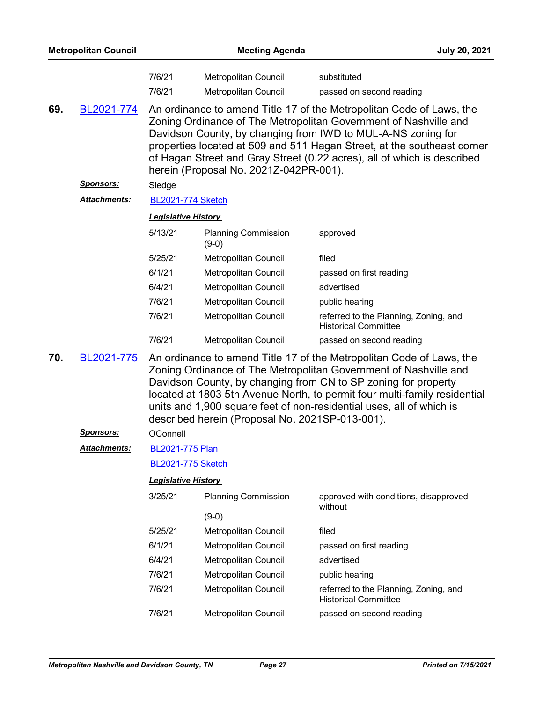| <b>Metropolitan Council</b> |                     | <b>Meeting Agenda</b>                                                                                                                                                                                                                                                                                                                                                                                              |                                                     |                                                                      |  |  |
|-----------------------------|---------------------|--------------------------------------------------------------------------------------------------------------------------------------------------------------------------------------------------------------------------------------------------------------------------------------------------------------------------------------------------------------------------------------------------------------------|-----------------------------------------------------|----------------------------------------------------------------------|--|--|
|                             |                     | 7/6/21<br>7/6/21                                                                                                                                                                                                                                                                                                                                                                                                   | Metropolitan Council<br><b>Metropolitan Council</b> | substituted<br>passed on second reading                              |  |  |
| 69.                         | BL2021-774          | An ordinance to amend Title 17 of the Metropolitan Code of Laws, the<br>Zoning Ordinance of The Metropolitan Government of Nashville and<br>Davidson County, by changing from IWD to MUL-A-NS zoning for<br>properties located at 509 and 511 Hagan Street, at the southeast corner<br>of Hagan Street and Gray Street (0.22 acres), all of which is described<br>herein (Proposal No. 2021Z-042PR-001).           |                                                     |                                                                      |  |  |
|                             | <u>Sponsors:</u>    | Sledge                                                                                                                                                                                                                                                                                                                                                                                                             |                                                     |                                                                      |  |  |
|                             | Attachments:        | <b>BL2021-774 Sketch</b>                                                                                                                                                                                                                                                                                                                                                                                           |                                                     |                                                                      |  |  |
|                             |                     | <b>Legislative History</b>                                                                                                                                                                                                                                                                                                                                                                                         |                                                     |                                                                      |  |  |
|                             |                     | 5/13/21                                                                                                                                                                                                                                                                                                                                                                                                            | <b>Planning Commission</b><br>$(9-0)$               | approved                                                             |  |  |
|                             |                     | 5/25/21                                                                                                                                                                                                                                                                                                                                                                                                            | <b>Metropolitan Council</b>                         | filed                                                                |  |  |
|                             |                     | 6/1/21                                                                                                                                                                                                                                                                                                                                                                                                             | Metropolitan Council                                | passed on first reading                                              |  |  |
|                             |                     | 6/4/21                                                                                                                                                                                                                                                                                                                                                                                                             | Metropolitan Council                                | advertised                                                           |  |  |
|                             |                     | 7/6/21                                                                                                                                                                                                                                                                                                                                                                                                             | Metropolitan Council                                | public hearing                                                       |  |  |
|                             |                     | 7/6/21                                                                                                                                                                                                                                                                                                                                                                                                             | Metropolitan Council                                | referred to the Planning, Zoning, and<br><b>Historical Committee</b> |  |  |
|                             |                     | 7/6/21                                                                                                                                                                                                                                                                                                                                                                                                             | Metropolitan Council                                | passed on second reading                                             |  |  |
| 70.                         | BL2021-775          | An ordinance to amend Title 17 of the Metropolitan Code of Laws, the<br>Zoning Ordinance of The Metropolitan Government of Nashville and<br>Davidson County, by changing from CN to SP zoning for property<br>located at 1803 5th Avenue North, to permit four multi-family residential<br>units and 1,900 square feet of non-residential uses, all of which is<br>described herein (Proposal No. 2021SP-013-001). |                                                     |                                                                      |  |  |
|                             | <u>Sponsors:</u>    | OConnell                                                                                                                                                                                                                                                                                                                                                                                                           |                                                     |                                                                      |  |  |
|                             | <b>Attachments:</b> | <b>BL2021-775 Plan</b>                                                                                                                                                                                                                                                                                                                                                                                             |                                                     |                                                                      |  |  |
|                             |                     | <b>BL2021-775 Sketch</b>                                                                                                                                                                                                                                                                                                                                                                                           |                                                     |                                                                      |  |  |
|                             |                     | <b>Legislative History</b>                                                                                                                                                                                                                                                                                                                                                                                         |                                                     |                                                                      |  |  |
|                             |                     | 3/25/21                                                                                                                                                                                                                                                                                                                                                                                                            | <b>Planning Commission</b>                          | approved with conditions, disapproved<br>without                     |  |  |
|                             |                     |                                                                                                                                                                                                                                                                                                                                                                                                                    | $(9-0)$                                             |                                                                      |  |  |
|                             |                     | 5/25/21                                                                                                                                                                                                                                                                                                                                                                                                            | Metropolitan Council                                | filed                                                                |  |  |
|                             |                     | 6/1/21                                                                                                                                                                                                                                                                                                                                                                                                             | <b>Metropolitan Council</b>                         | passed on first reading                                              |  |  |
|                             |                     | 6/4/21                                                                                                                                                                                                                                                                                                                                                                                                             | Metropolitan Council                                | advertised                                                           |  |  |
|                             |                     | 7/6/21                                                                                                                                                                                                                                                                                                                                                                                                             | Metropolitan Council                                | public hearing                                                       |  |  |
|                             |                     | 7/6/21                                                                                                                                                                                                                                                                                                                                                                                                             | Metropolitan Council                                | referred to the Planning, Zoning, and<br><b>Historical Committee</b> |  |  |
|                             |                     | 7/6/21                                                                                                                                                                                                                                                                                                                                                                                                             | Metropolitan Council                                | passed on second reading                                             |  |  |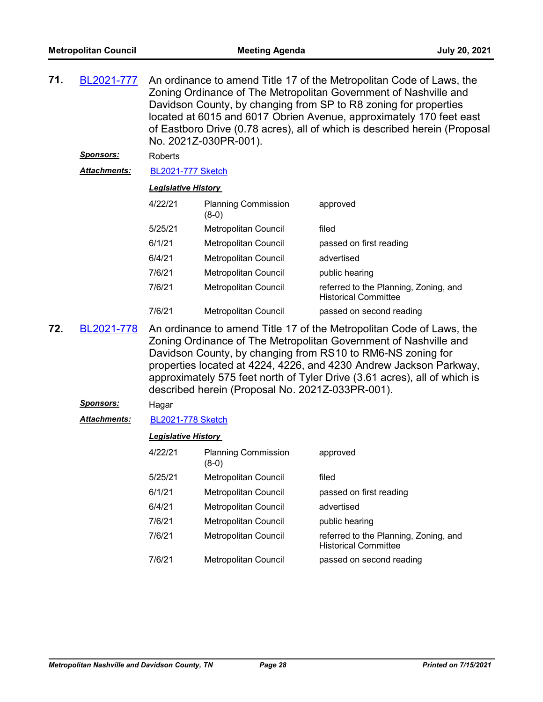| 71. | BL2021-777          | An ordinance to amend Title 17 of the Metropolitan Code of Laws, the<br>Zoning Ordinance of The Metropolitan Government of Nashville and<br>Davidson County, by changing from SP to R8 zoning for properties<br>located at 6015 and 6017 Obrien Avenue, approximately 170 feet east<br>of Eastboro Drive (0.78 acres), all of which is described herein (Proposal<br>No. 2021Z-030PR-001). |                                                  |                                                                                                                                                                                                                                                                                                                                                            |  |
|-----|---------------------|--------------------------------------------------------------------------------------------------------------------------------------------------------------------------------------------------------------------------------------------------------------------------------------------------------------------------------------------------------------------------------------------|--------------------------------------------------|------------------------------------------------------------------------------------------------------------------------------------------------------------------------------------------------------------------------------------------------------------------------------------------------------------------------------------------------------------|--|
|     | <u>Sponsors:</u>    | <b>Roberts</b>                                                                                                                                                                                                                                                                                                                                                                             |                                                  |                                                                                                                                                                                                                                                                                                                                                            |  |
|     | Attachments:        | <b>BL2021-777 Sketch</b>                                                                                                                                                                                                                                                                                                                                                                   |                                                  |                                                                                                                                                                                                                                                                                                                                                            |  |
|     |                     | <b>Legislative History</b>                                                                                                                                                                                                                                                                                                                                                                 |                                                  |                                                                                                                                                                                                                                                                                                                                                            |  |
|     |                     | 4/22/21                                                                                                                                                                                                                                                                                                                                                                                    | <b>Planning Commission</b><br>$(8-0)$            | approved                                                                                                                                                                                                                                                                                                                                                   |  |
|     |                     | 5/25/21                                                                                                                                                                                                                                                                                                                                                                                    | Metropolitan Council                             | filed                                                                                                                                                                                                                                                                                                                                                      |  |
|     |                     | 6/1/21                                                                                                                                                                                                                                                                                                                                                                                     | Metropolitan Council                             | passed on first reading                                                                                                                                                                                                                                                                                                                                    |  |
|     |                     | 6/4/21                                                                                                                                                                                                                                                                                                                                                                                     | Metropolitan Council                             | advertised                                                                                                                                                                                                                                                                                                                                                 |  |
|     |                     | 7/6/21                                                                                                                                                                                                                                                                                                                                                                                     | Metropolitan Council                             | public hearing                                                                                                                                                                                                                                                                                                                                             |  |
|     |                     | 7/6/21                                                                                                                                                                                                                                                                                                                                                                                     | Metropolitan Council                             | referred to the Planning, Zoning, and<br><b>Historical Committee</b>                                                                                                                                                                                                                                                                                       |  |
|     |                     | 7/6/21                                                                                                                                                                                                                                                                                                                                                                                     | Metropolitan Council                             | passed on second reading                                                                                                                                                                                                                                                                                                                                   |  |
| 72. | BL2021-778          |                                                                                                                                                                                                                                                                                                                                                                                            | described herein (Proposal No. 2021Z-033PR-001). | An ordinance to amend Title 17 of the Metropolitan Code of Laws, the<br>Zoning Ordinance of The Metropolitan Government of Nashville and<br>Davidson County, by changing from RS10 to RM6-NS zoning for<br>properties located at 4224, 4226, and 4230 Andrew Jackson Parkway,<br>approximately 575 feet north of Tyler Drive (3.61 acres), all of which is |  |
|     | <u>Sponsors:</u>    | Hagar                                                                                                                                                                                                                                                                                                                                                                                      |                                                  |                                                                                                                                                                                                                                                                                                                                                            |  |
|     | <b>Attachments:</b> | <b>BL2021-778 Sketch</b>                                                                                                                                                                                                                                                                                                                                                                   |                                                  |                                                                                                                                                                                                                                                                                                                                                            |  |
|     |                     | <b>Legislative History</b>                                                                                                                                                                                                                                                                                                                                                                 |                                                  |                                                                                                                                                                                                                                                                                                                                                            |  |
|     |                     | 4/22/21                                                                                                                                                                                                                                                                                                                                                                                    | <b>Planning Commission</b><br>$(8-0)$            | approved                                                                                                                                                                                                                                                                                                                                                   |  |
|     |                     | 5/25/21                                                                                                                                                                                                                                                                                                                                                                                    | Metropolitan Council                             | filed                                                                                                                                                                                                                                                                                                                                                      |  |
|     |                     | 6/1/21                                                                                                                                                                                                                                                                                                                                                                                     | <b>Metropolitan Council</b>                      | passed on first reading                                                                                                                                                                                                                                                                                                                                    |  |

6/4/21 Metropolitan Council advertised 7/6/21 Metropolitan Council public hearing

7/6/21 Metropolitan Council referred to the Planning, Zoning, and

7/6/21 Metropolitan Council passed on second reading

Historical Committee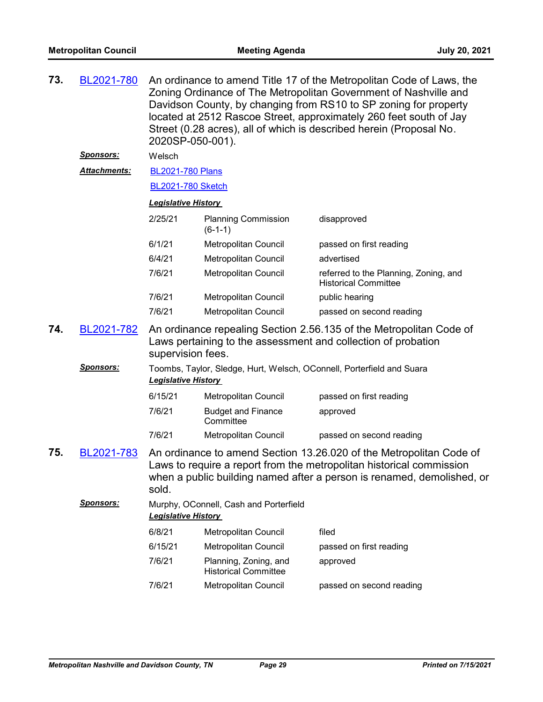| 73. | BL2021-780       | An ordinance to amend Title 17 of the Metropolitan Code of Laws, the<br>Zoning Ordinance of The Metropolitan Government of Nashville and<br>Davidson County, by changing from RS10 to SP zoning for property<br>located at 2512 Rascoe Street, approximately 260 feet south of Jay<br>Street (0.28 acres), all of which is described herein (Proposal No.<br>2020SP-050-001). |                                                                       |                                                                      |  |  |
|-----|------------------|-------------------------------------------------------------------------------------------------------------------------------------------------------------------------------------------------------------------------------------------------------------------------------------------------------------------------------------------------------------------------------|-----------------------------------------------------------------------|----------------------------------------------------------------------|--|--|
|     | <u>Sponsors:</u> | Welsch                                                                                                                                                                                                                                                                                                                                                                        |                                                                       |                                                                      |  |  |
|     | Attachments:     | <b>BL2021-780 Plans</b>                                                                                                                                                                                                                                                                                                                                                       |                                                                       |                                                                      |  |  |
|     |                  | <b>BL2021-780 Sketch</b>                                                                                                                                                                                                                                                                                                                                                      |                                                                       |                                                                      |  |  |
|     |                  | <b>Legislative History</b>                                                                                                                                                                                                                                                                                                                                                    |                                                                       |                                                                      |  |  |
|     |                  | 2/25/21                                                                                                                                                                                                                                                                                                                                                                       | <b>Planning Commission</b><br>$(6-1-1)$                               | disapproved                                                          |  |  |
|     |                  | 6/1/21                                                                                                                                                                                                                                                                                                                                                                        | Metropolitan Council                                                  | passed on first reading                                              |  |  |
|     |                  | 6/4/21                                                                                                                                                                                                                                                                                                                                                                        | <b>Metropolitan Council</b>                                           | advertised                                                           |  |  |
|     |                  | 7/6/21                                                                                                                                                                                                                                                                                                                                                                        | Metropolitan Council                                                  | referred to the Planning, Zoning, and<br><b>Historical Committee</b> |  |  |
|     |                  | 7/6/21                                                                                                                                                                                                                                                                                                                                                                        | Metropolitan Council                                                  | public hearing                                                       |  |  |
|     |                  | 7/6/21                                                                                                                                                                                                                                                                                                                                                                        | Metropolitan Council                                                  | passed on second reading                                             |  |  |
| 74. | BL2021-782       | An ordinance repealing Section 2.56.135 of the Metropolitan Code of<br>Laws pertaining to the assessment and collection of probation<br>supervision fees.                                                                                                                                                                                                                     |                                                                       |                                                                      |  |  |
|     | <u>Sponsors:</u> | <b>Legislative History</b>                                                                                                                                                                                                                                                                                                                                                    | Toombs, Taylor, Sledge, Hurt, Welsch, OConnell, Porterfield and Suara |                                                                      |  |  |
|     |                  | 6/15/21                                                                                                                                                                                                                                                                                                                                                                       | Metropolitan Council                                                  | passed on first reading                                              |  |  |
|     |                  | 7/6/21                                                                                                                                                                                                                                                                                                                                                                        | <b>Budget and Finance</b><br>Committee                                | approved                                                             |  |  |
|     |                  | 7/6/21                                                                                                                                                                                                                                                                                                                                                                        | Metropolitan Council                                                  | passed on second reading                                             |  |  |
| 75. | BL2021-783       | An ordinance to amend Section 13.26.020 of the Metropolitan Code of<br>Laws to require a report from the metropolitan historical commission<br>when a public building named after a person is renamed, demolished, or<br>sold.                                                                                                                                                |                                                                       |                                                                      |  |  |
|     | <b>Sponsors:</b> | <b>Legislative History</b>                                                                                                                                                                                                                                                                                                                                                    | Murphy, OConnell, Cash and Porterfield                                |                                                                      |  |  |
|     |                  | 6/8/21                                                                                                                                                                                                                                                                                                                                                                        | Metropolitan Council                                                  | filed                                                                |  |  |
|     |                  | 6/15/21                                                                                                                                                                                                                                                                                                                                                                       | Metropolitan Council                                                  | passed on first reading                                              |  |  |
|     |                  | 7/6/21                                                                                                                                                                                                                                                                                                                                                                        | Planning, Zoning, and<br><b>Historical Committee</b>                  | approved                                                             |  |  |
|     |                  | 7/6/21                                                                                                                                                                                                                                                                                                                                                                        | <b>Metropolitan Council</b>                                           | passed on second reading                                             |  |  |